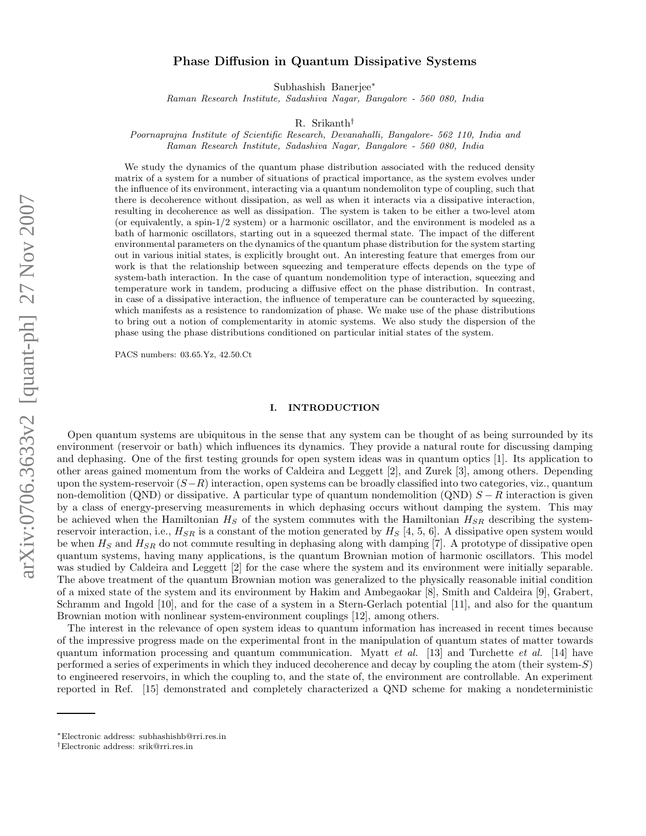# Phase Diffusion in Quantum Dissipative Systems

Subhashish Banerjee<sup>∗</sup>

Raman Research Institute, Sadashiva Nagar, Bangalore - 560 080, India

R. Srikanth†

Poornaprajna Institute of Scientific Research, Devanahalli, Bangalore- 562 110, India and Raman Research Institute, Sadashiva Nagar, Bangalore - 560 080, India

We study the dynamics of the quantum phase distribution associated with the reduced density matrix of a system for a number of situations of practical importance, as the system evolves under the influence of its environment, interacting via a quantum nondemoliton type of coupling, such that there is decoherence without dissipation, as well as when it interacts via a dissipative interaction, resulting in decoherence as well as dissipation. The system is taken to be either a two-level atom (or equivalently, a spin-1/2 system) or a harmonic oscillator, and the environment is modeled as a bath of harmonic oscillators, starting out in a squeezed thermal state. The impact of the different environmental parameters on the dynamics of the quantum phase distribution for the system starting out in various initial states, is explicitly brought out. An interesting feature that emerges from our work is that the relationship between squeezing and temperature effects depends on the type of system-bath interaction. In the case of quantum nondemolition type of interaction, squeezing and temperature work in tandem, producing a diffusive effect on the phase distribution. In contrast, in case of a dissipative interaction, the influence of temperature can be counteracted by squeezing, which manifests as a resistence to randomization of phase. We make use of the phase distributions to bring out a notion of complementarity in atomic systems. We also study the dispersion of the phase using the phase distributions conditioned on particular initial states of the system.

PACS numbers: 03.65.Yz, 42.50.Ct

# I. INTRODUCTION

Open quantum systems are ubiquitous in the sense that any system can be thought of as being surrounded by its environment (reservoir or bath) which influences its dynamics. They provide a natural route for discussing damping and dephasing. One of the first testing grounds for open system ideas was in quantum optics [1]. Its application to other areas gained momentum from the works of Caldeira and Leggett [2], and Zurek [3], among others. Depending upon the system-reservoir  $(S-R)$  interaction, open systems can be broadly classified into two categories, viz., quantum non-demolition (QND) or dissipative. A particular type of quantum nondemolition (QND)  $S - R$  interaction is given by a class of energy-preserving measurements in which dephasing occurs without damping the system. This may be achieved when the Hamiltonian  $H_S$  of the system commutes with the Hamiltonian  $H_{SR}$  describing the systemreservoir interaction, i.e.,  $H_{SR}$  is a constant of the motion generated by  $H_S$  [4, 5, 6]. A dissipative open system would be when  $H_S$  and  $H_{SR}$  do not commute resulting in dephasing along with damping [7]. A prototype of dissipative open quantum systems, having many applications, is the quantum Brownian motion of harmonic oscillators. This model was studied by Caldeira and Leggett [2] for the case where the system and its environment were initially separable. The above treatment of the quantum Brownian motion was generalized to the physically reasonable initial condition of a mixed state of the system and its environment by Hakim and Ambegaokar [8], Smith and Caldeira [9], Grabert, Schramm and Ingold [10], and for the case of a system in a Stern-Gerlach potential [11], and also for the quantum Brownian motion with nonlinear system-environment couplings [12], among others.

The interest in the relevance of open system ideas to quantum information has increased in recent times because of the impressive progress made on the experimental front in the manipulation of quantum states of matter towards quantum information processing and quantum communication. Myatt *et al.* [13] and Turchette *et al.* [14] have performed a series of experiments in which they induced decoherence and decay by coupling the atom (their system-S) to engineered reservoirs, in which the coupling to, and the state of, the environment are controllable. An experiment reported in Ref. [15] demonstrated and completely characterized a QND scheme for making a nondeterministic

<sup>∗</sup>Electronic address: subhashishb@rri.res.in

<sup>†</sup>Electronic address: srik@rri.res.in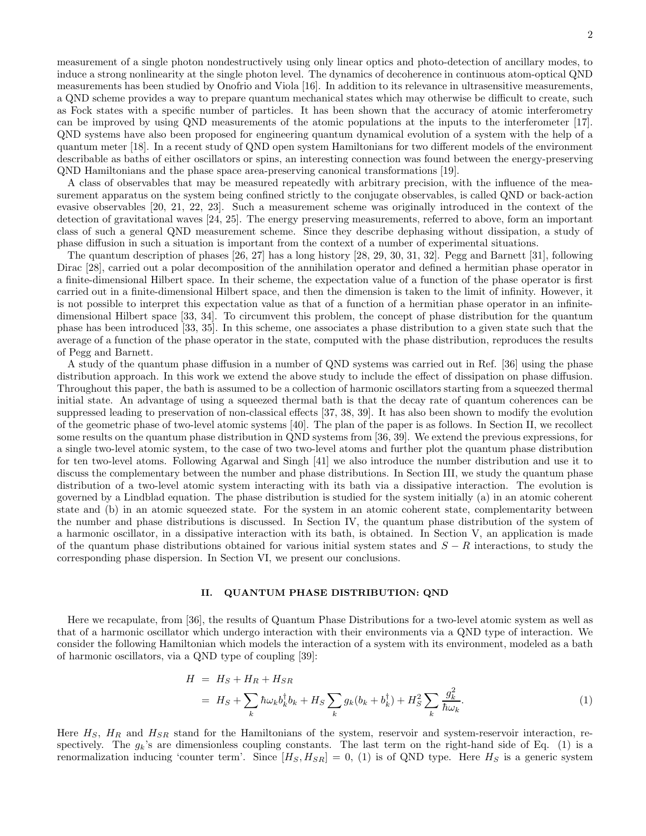measurement of a single photon nondestructively using only linear optics and photo-detection of ancillary modes, to induce a strong nonlinearity at the single photon level. The dynamics of decoherence in continuous atom-optical QND measurements has been studied by Onofrio and Viola [16]. In addition to its relevance in ultrasensitive measurements, a QND scheme provides a way to prepare quantum mechanical states which may otherwise be difficult to create, such as Fock states with a specific number of particles. It has been shown that the accuracy of atomic interferometry can be improved by using QND measurements of the atomic populations at the inputs to the interferometer [17]. QND systems have also been proposed for engineering quantum dynamical evolution of a system with the help of a quantum meter [18]. In a recent study of QND open system Hamiltonians for two different models of the environment describable as baths of either oscillators or spins, an interesting connection was found between the energy-preserving QND Hamiltonians and the phase space area-preserving canonical transformations [19].

A class of observables that may be measured repeatedly with arbitrary precision, with the influence of the measurement apparatus on the system being confined strictly to the conjugate observables, is called QND or back-action evasive observables [20, 21, 22, 23]. Such a measurement scheme was originally introduced in the context of the detection of gravitational waves [24, 25]. The energy preserving measurements, referred to above, form an important class of such a general QND measurement scheme. Since they describe dephasing without dissipation, a study of phase diffusion in such a situation is important from the context of a number of experimental situations.

The quantum description of phases [26, 27] has a long history [28, 29, 30, 31, 32]. Pegg and Barnett [31], following Dirac [28], carried out a polar decomposition of the annihilation operator and defined a hermitian phase operator in a finite-dimensional Hilbert space. In their scheme, the expectation value of a function of the phase operator is first carried out in a finite-dimensional Hilbert space, and then the dimension is taken to the limit of infinity. However, it is not possible to interpret this expectation value as that of a function of a hermitian phase operator in an infinitedimensional Hilbert space [33, 34]. To circumvent this problem, the concept of phase distribution for the quantum phase has been introduced [33, 35]. In this scheme, one associates a phase distribution to a given state such that the average of a function of the phase operator in the state, computed with the phase distribution, reproduces the results of Pegg and Barnett.

A study of the quantum phase diffusion in a number of QND systems was carried out in Ref. [36] using the phase distribution approach. In this work we extend the above study to include the effect of dissipation on phase diffusion. Throughout this paper, the bath is assumed to be a collection of harmonic oscillators starting from a squeezed thermal initial state. An advantage of using a squeezed thermal bath is that the decay rate of quantum coherences can be suppressed leading to preservation of non-classical effects [37, 38, 39]. It has also been shown to modify the evolution of the geometric phase of two-level atomic systems [40]. The plan of the paper is as follows. In Section II, we recollect some results on the quantum phase distribution in QND systems from [36, 39]. We extend the previous expressions, for a single two-level atomic system, to the case of two two-level atoms and further plot the quantum phase distribution for ten two-level atoms. Following Agarwal and Singh [41] we also introduce the number distribution and use it to discuss the complementary between the number and phase distributions. In Section III, we study the quantum phase distribution of a two-level atomic system interacting with its bath via a dissipative interaction. The evolution is governed by a Lindblad equation. The phase distribution is studied for the system initially (a) in an atomic coherent state and (b) in an atomic squeezed state. For the system in an atomic coherent state, complementarity between the number and phase distributions is discussed. In Section IV, the quantum phase distribution of the system of a harmonic oscillator, in a dissipative interaction with its bath, is obtained. In Section V, an application is made of the quantum phase distributions obtained for various initial system states and  $S - R$  interactions, to study the corresponding phase dispersion. In Section VI, we present our conclusions.

## II. QUANTUM PHASE DISTRIBUTION: QND

Here we recapulate, from [36], the results of Quantum Phase Distributions for a two-level atomic system as well as that of a harmonic oscillator which undergo interaction with their environments via a QND type of interaction. We consider the following Hamiltonian which models the interaction of a system with its environment, modeled as a bath of harmonic oscillators, via a QND type of coupling [39]:

$$
H = HS + HR + HSR
$$
  
=  $HS + \sum_{k} \hbar \omega_{k} b_{k}^{\dagger} b_{k} + HS \sum_{k} g_{k} (b_{k} + b_{k}^{\dagger}) + HS2 \sum_{k} \frac{g_{k}^{2}}{\hbar \omega_{k}}.$  (1)

Here  $H_S$ ,  $H_R$  and  $H_{SR}$  stand for the Hamiltonians of the system, reservoir and system-reservoir interaction, respectively. The  $g_k$ 's are dimensionless coupling constants. The last term on the right-hand side of Eq. (1) is a renormalization inducing 'counter term'. Since  $[H_S, H_{SR}] = 0$ , (1) is of QND type. Here  $H_S$  is a generic system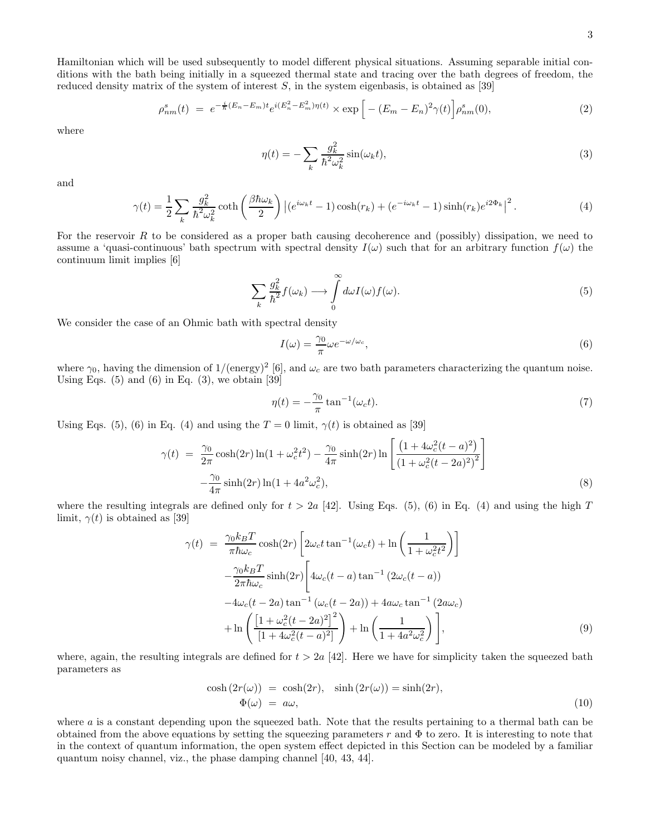Hamiltonian which will be used subsequently to model different physical situations. Assuming separable initial conditions with the bath being initially in a squeezed thermal state and tracing over the bath degrees of freedom, the reduced density matrix of the system of interest  $S$ , in the system eigenbasis, is obtained as [39]

$$
\rho_{nm}^s(t) = e^{-\frac{i}{\hbar}(E_n - E_m)t} e^{i(E_n^2 - E_m^2)\eta(t)} \times \exp\left[ - (E_m - E_n)^2 \gamma(t) \right] \rho_{nm}^s(0),\tag{2}
$$

where

$$
\eta(t) = -\sum_{k} \frac{g_k^2}{\hbar^2 \omega_k^2} \sin(\omega_k t),\tag{3}
$$

and

$$
\gamma(t) = \frac{1}{2} \sum_{k} \frac{g_k^2}{\hbar^2 \omega_k^2} \coth\left(\frac{\beta \hbar \omega_k}{2}\right) \left| \left(e^{i\omega_k t} - 1\right) \cosh(r_k) + \left(e^{-i\omega_k t} - 1\right) \sinh(r_k) e^{i2\Phi_k} \right|^2. \tag{4}
$$

For the reservoir R to be considered as a proper bath causing decoherence and (possibly) dissipation, we need to assume a 'quasi-continuous' bath spectrum with spectral density  $I(\omega)$  such that for an arbitrary function  $f(\omega)$  the continuum limit implies [6]

$$
\sum_{k} \frac{g_k^2}{\hbar^2} f(\omega_k) \longrightarrow \int_0^\infty d\omega I(\omega) f(\omega).
$$
\n(5)

We consider the case of an Ohmic bath with spectral density

$$
I(\omega) = \frac{\gamma_0}{\pi} \omega e^{-\omega/\omega_c},\tag{6}
$$

where  $\gamma_0$ , having the dimension of 1/(energy)<sup>2</sup> [6], and  $\omega_c$  are two bath parameters characterizing the quantum noise. Using Eqs.  $(5)$  and  $(6)$  in Eq.  $(3)$ , we obtain [39]

$$
\eta(t) = -\frac{\gamma_0}{\pi} \tan^{-1}(\omega_c t). \tag{7}
$$

Using Eqs. (5), (6) in Eq. (4) and using the  $T = 0$  limit,  $\gamma(t)$  is obtained as [39]

$$
\gamma(t) = \frac{\gamma_0}{2\pi} \cosh(2r) \ln(1 + \omega_c^2 t^2) - \frac{\gamma_0}{4\pi} \sinh(2r) \ln\left[\frac{\left(1 + 4\omega_c^2 (t - a)^2\right)}{\left(1 + \omega_c^2 (t - 2a)^2\right)^2}\right] - \frac{\gamma_0}{4\pi} \sinh(2r) \ln(1 + 4a^2 \omega_c^2),\tag{8}
$$

where the resulting integrals are defined only for  $t > 2a$  [42]. Using Eqs. (5), (6) in Eq. (4) and using the high T limit,  $\gamma(t)$  is obtained as [39]

$$
\gamma(t) = \frac{\gamma_0 k_B T}{\pi \hbar \omega_c} \cosh(2r) \left[ 2\omega_c t \tan^{-1}(\omega_c t) + \ln\left(\frac{1}{1 + \omega_c^2 t^2}\right) \right]
$$

$$
-\frac{\gamma_0 k_B T}{2\pi \hbar \omega_c} \sinh(2r) \left[ 4\omega_c (t - a) \tan^{-1} (2\omega_c (t - a)) -4\omega_c (t - 2a) \tan^{-1} (\omega_c (t - 2a)) + 4a\omega_c \tan^{-1} (2a\omega_c) + \ln\left(\frac{\left[1 + \omega_c^2 (t - 2a)^2\right]^2}{\left[1 + 4\omega_c^2 (t - a)^2\right]}\right) + \ln\left(\frac{1}{1 + 4a^2 \omega_c^2}\right) \right],
$$
(9)

where, again, the resulting integrals are defined for  $t > 2a$  [42]. Here we have for simplicity taken the squeezed bath parameters as

$$
\cosh(2r(\omega)) = \cosh(2r), \quad \sinh(2r(\omega)) = \sinh(2r), \n\Phi(\omega) = a\omega,
$$
\n(10)

where  $a$  is a constant depending upon the squeezed bath. Note that the results pertaining to a thermal bath can be obtained from the above equations by setting the squeezing parameters r and  $\Phi$  to zero. It is interesting to note that in the context of quantum information, the open system effect depicted in this Section can be modeled by a familiar quantum noisy channel, viz., the phase damping channel [40, 43, 44].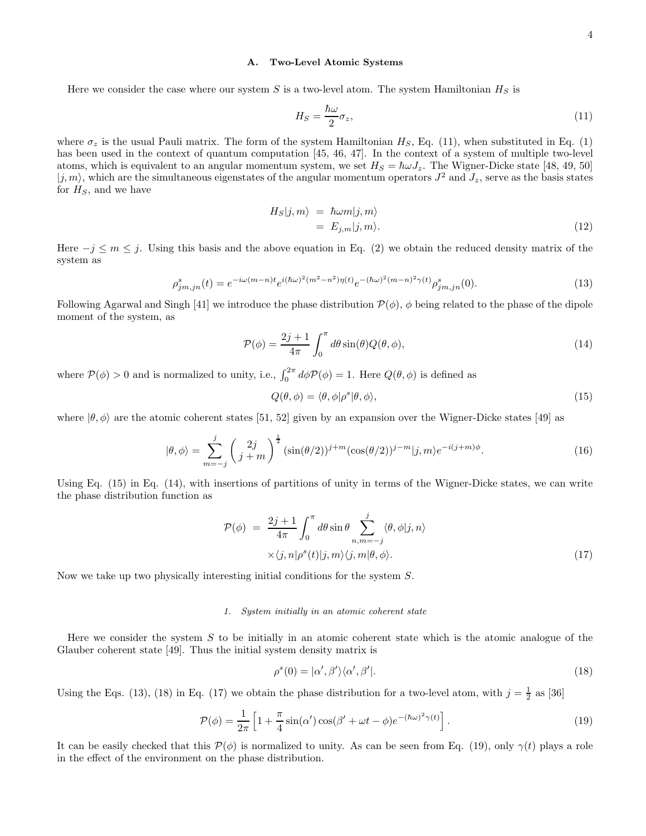### A. Two-Level Atomic Systems

Here we consider the case where our system S is a two-level atom. The system Hamiltonian  $H_S$  is

$$
H_S = \frac{\hbar\omega}{2}\sigma_z,\tag{11}
$$

where  $\sigma_z$  is the usual Pauli matrix. The form of the system Hamiltonian  $H_S$ , Eq. (11), when substituted in Eq. (1) has been used in the context of quantum computation [45, 46, 47]. In the context of a system of multiple two-level atoms, which is equivalent to an angular momentum system, we set  $H_S = \hbar \omega J_z$ . The Wigner-Dicke state [48, 49, 50]  $|j, m\rangle$ , which are the simultaneous eigenstates of the angular momentum operators  $J^2$  and  $J_z$ , serve as the basis states for  $H<sub>S</sub>$ , and we have

$$
H_S|j,m\rangle = \hbar\omega m|j,m\rangle
$$
  
=  $E_{j,m}|j,m\rangle$ . (12)

Here  $-j \leq m \leq j$ . Using this basis and the above equation in Eq. (2) we obtain the reduced density matrix of the system as

$$
\rho_{jm,jn}^s(t) = e^{-i\omega(m-n)t} e^{i(\hbar\omega)^2(m^2-n^2)\eta(t)} e^{-(\hbar\omega)^2(m-n)^2\gamma(t)} \rho_{jm,jn}^s(0). \tag{13}
$$

Following Agarwal and Singh [41] we introduce the phase distribution  $\mathcal{P}(\phi)$ ,  $\phi$  being related to the phase of the dipole moment of the system, as

$$
\mathcal{P}(\phi) = \frac{2j+1}{4\pi} \int_0^{\pi} d\theta \sin(\theta) Q(\theta, \phi), \qquad (14)
$$

where  $\mathcal{P}(\phi) > 0$  and is normalized to unity, i.e.,  $\int_0^{2\pi} d\phi \mathcal{P}(\phi) = 1$ . Here  $Q(\theta, \phi)$  is defined as

$$
Q(\theta, \phi) = \langle \theta, \phi | \rho^s | \theta, \phi \rangle,\tag{15}
$$

where  $|\theta, \phi\rangle$  are the atomic coherent states [51, 52] given by an expansion over the Wigner-Dicke states [49] as

$$
|\theta,\phi\rangle = \sum_{m=-j}^{j} \left(\frac{2j}{j+m}\right)^{\frac{1}{2}} (\sin(\theta/2))^{j+m} (\cos(\theta/2))^{j-m} |j,m\rangle e^{-i(j+m)\phi}.
$$
 (16)

Using Eq. (15) in Eq. (14), with insertions of partitions of unity in terms of the Wigner-Dicke states, we can write the phase distribution function as

$$
\mathcal{P}(\phi) = \frac{2j+1}{4\pi} \int_0^{\pi} d\theta \sin \theta \sum_{n,m=-j}^j \langle \theta, \phi | j, n \rangle
$$
  
 
$$
\times \langle j, n | \rho^s(t) | j, m \rangle \langle j, m | \theta, \phi \rangle.
$$
 (17)

Now we take up two physically interesting initial conditions for the system S.

#### 1. System initially in an atomic coherent state

Here we consider the system  $S$  to be initially in an atomic coherent state which is the atomic analogue of the Glauber coherent state [49]. Thus the initial system density matrix is

$$
\rho^s(0) = |\alpha', \beta'\rangle \langle \alpha', \beta'|.\tag{18}
$$

Using the Eqs. (13), (18) in Eq. (17) we obtain the phase distribution for a two-level atom, with  $j = \frac{1}{2}$  as [36]

$$
\mathcal{P}(\phi) = \frac{1}{2\pi} \left[ 1 + \frac{\pi}{4} \sin(\alpha') \cos(\beta' + \omega t - \phi) e^{-(\hbar\omega)^2 \gamma(t)} \right].
$$
\n(19)

It can be easily checked that this  $\mathcal{P}(\phi)$  is normalized to unity. As can be seen from Eq. (19), only  $\gamma(t)$  plays a role in the effect of the environment on the phase distribution.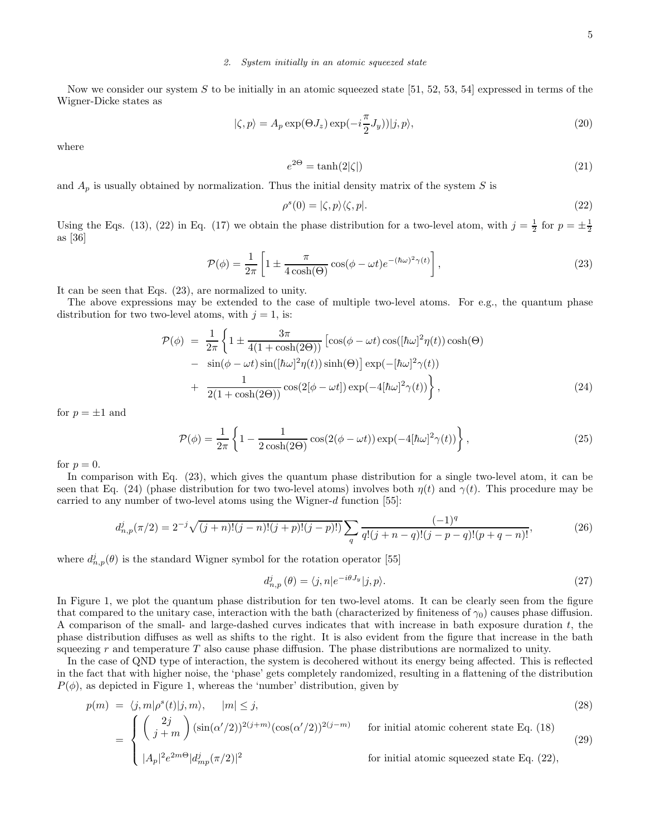### 2. System initially in an atomic squeezed state

Now we consider our system S to be initially in an atomic squeezed state [51, 52, 53, 54] expressed in terms of the Wigner-Dicke states as

$$
|\zeta, p\rangle = A_p \exp(\Theta J_z) \exp(-i\frac{\pi}{2}J_y)|j, p\rangle,
$$
\n(20)

where

$$
e^{2\Theta} = \tanh(2|\zeta|) \tag{21}
$$

and  $A_p$  is usually obtained by normalization. Thus the initial density matrix of the system S is

$$
\rho^s(0) = |\zeta, p\rangle\langle\zeta, p|.\tag{22}
$$

Using the Eqs. (13), (22) in Eq. (17) we obtain the phase distribution for a two-level atom, with  $j = \frac{1}{2}$  for  $p = \pm \frac{1}{2}$ as [36]

$$
\mathcal{P}(\phi) = \frac{1}{2\pi} \left[ 1 \pm \frac{\pi}{4\cosh(\Theta)} \cos(\phi - \omega t) e^{-(\hbar\omega)^2 \gamma(t)} \right],\tag{23}
$$

It can be seen that Eqs. (23), are normalized to unity.

The above expressions may be extended to the case of multiple two-level atoms. For e.g., the quantum phase distribution for two two-level atoms, with  $j = 1$ , is:

$$
\mathcal{P}(\phi) = \frac{1}{2\pi} \left\{ 1 \pm \frac{3\pi}{4(1 + \cosh(2\Theta))} \left[ \cos(\phi - \omega t) \cos([\hbar\omega]^2 \eta(t)) \cosh(\Theta) \right. \\ - \sin(\phi - \omega t) \sin([\hbar\omega]^2 \eta(t)) \sinh(\Theta) \right] \exp(-[\hbar\omega]^2 \gamma(t)) \\ + \frac{1}{2(1 + \cosh(2\Theta))} \cos(2[\phi - \omega t]) \exp(-4[\hbar\omega]^2 \gamma(t)) \right\},
$$
\n(24)

for  $p = \pm 1$  and

$$
\mathcal{P}(\phi) = \frac{1}{2\pi} \left\{ 1 - \frac{1}{2\cosh(2\Theta)} \cos(2(\phi - \omega t)) \exp(-4[\hbar\omega]^2 \gamma(t)) \right\},\tag{25}
$$

for  $p = 0$ .

In comparison with Eq. (23), which gives the quantum phase distribution for a single two-level atom, it can be seen that Eq. (24) (phase distribution for two two-level atoms) involves both  $\eta(t)$  and  $\gamma(t)$ . This procedure may be carried to any number of two-level atoms using the Wigner-d function [55]:

$$
d_{n,p}^j(\pi/2) = 2^{-j} \sqrt{(j+n)!(j-n)!(j+p)!(j-p)!} \sum_q \frac{(-1)^q}{q!(j+n-q)!(j-p-q)!(p+q-n)!},\tag{26}
$$

where  $d_{n,p}^j(\theta)$  is the standard Wigner symbol for the rotation operator [55]

$$
d_{n,p}^j\left(\theta\right) = \langle j, n | e^{-i\theta J_y} | j, p \rangle. \tag{27}
$$

In Figure 1, we plot the quantum phase distribution for ten two-level atoms. It can be clearly seen from the figure that compared to the unitary case, interaction with the bath (characterized by finiteness of  $\gamma_0$ ) causes phase diffusion. A comparison of the small- and large-dashed curves indicates that with increase in bath exposure duration  $t$ , the phase distribution diffuses as well as shifts to the right. It is also evident from the figure that increase in the bath squeezing  $r$  and temperature  $T$  also cause phase diffusion. The phase distributions are normalized to unity.

In the case of QND type of interaction, the system is decohered without its energy being affected. This is reflected in the fact that with higher noise, the 'phase' gets completely randomized, resulting in a flattening of the distribution  $P(\phi)$ , as depicted in Figure 1, whereas the 'number' distribution, given by

$$
p(m) = \langle j, m | \rho^{s}(t) | j, m \rangle, \quad |m| \le j,
$$
\n
$$
\int \int \frac{2j}{(1 + (1/2))^{2(j+m)}} \frac{1}{(1/2)^{(j+m)}} \frac{1}{(1/2)^{(j+m)}} \frac{1}{(1 + (1/2))^{j}} \frac{1}{(1/2)^{(j+m)}} \frac{1}{(1/2)^{(j+m)}} \frac{1}{(1/2)^{(j+m)}} \frac{1}{(1/2)^{(j+m)}} \frac{1}{(1/2)^{(j+m)}} \frac{1}{(1/2)^{(j+m)}} \frac{1}{(1/2)^{(j+m)}} \frac{1}{(1/2)^{(j+m)}} \frac{1}{(1/2)^{(j+m)}} \frac{1}{(1/2)^{(j+m)}} \frac{1}{(1/2)^{(j+m)}} \frac{1}{(1/2)^{(j+m)}} \frac{1}{(1/2)^{(j+m)}} \frac{1}{(1/2)^{(j+m)}} \frac{1}{(1/2)^{(j+m)}} \frac{1}{(1/2)^{(j+m)}} \frac{1}{(1/2)^{(j+m)}} \frac{1}{(1/2)^{(j+m)}} \frac{1}{(1/2)^{(j+m)}} \frac{1}{(1/2)^{(j+m)}} \frac{1}{(1/2)^{(j+m)}} \frac{1}{(1/2)^{(j+m)}} \frac{1}{(1/2)^{(j+m)}} \frac{1}{(1/2)^{(j+m)}} \frac{1}{(1/2)^{(j+m)}} \frac{1}{(1/2)^{(j+m)}} \frac{1}{(1/2)^{(j+m)}} \frac{1}{(1/2)^{(j+m)}} \frac{1}{(1/2)^{(j+m)}} \frac{1}{(1/2)^{(j+m)}} \frac{1}{(1/2)^{(j+m)}} \frac{1}{(1/2)^{(j+m)}} \frac{1}{(1/2)^{(j+m)}} \frac{1}{(1/2)^{(j+m)}} \frac{1}{(1/2)^{(j+m)}} \frac{1}{(1/2)^{(j+m)}} \frac{1}{(1/2)^{(j+m)}} \frac{1}{(1/2)^{(j+m)}} \frac{1}{(1/2)^{(j+m)}} \frac{1}{(1/2)^{(j+m)}} \frac{1}{(1/2)^{(j+m)}} \frac{1}{(1/2)^{(j+m)}} \frac{1}{(1/2)^{(j+m)}} \frac{1}{(1/2)^{(j+m)}} \frac{1}{(1/2)^{(j+m)}} \frac{1}{(1/2)^{(j+m)}} \frac{1}{(1
$$

$$
= \begin{cases} \binom{2j}{j+m} (\sin(\alpha'/2))^{2(j+m)} (\cos(\alpha'/2))^{2(j-m)} & \text{for initial atomic coherent state Eq. (18)}\\ |A_p|^2 e^{2m\Theta} |d_{mp}^j(\pi/2)|^2 & \text{for initial atomic squeezed state Eq. (22)}, \end{cases}
$$
(29)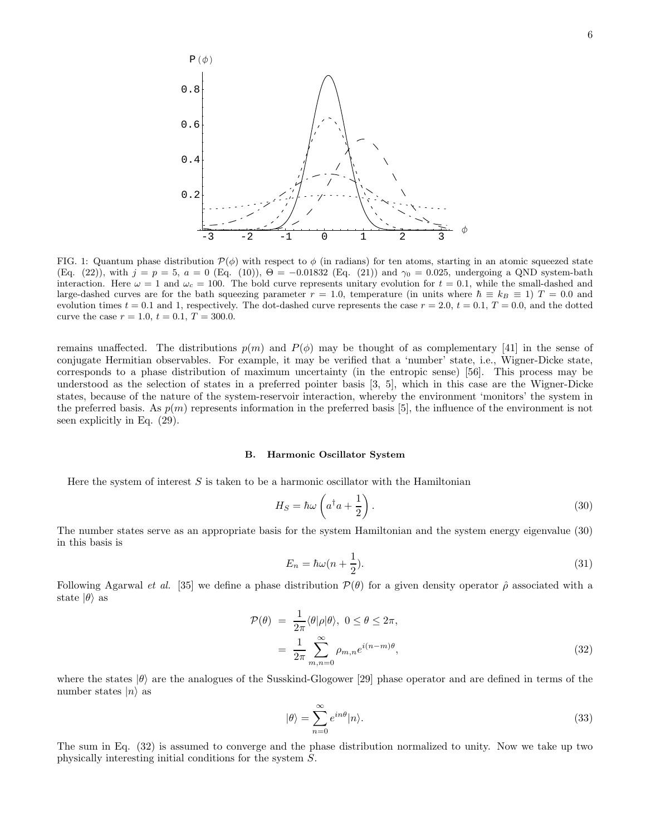

FIG. 1: Quantum phase distribution  $\mathcal{P}(\phi)$  with respect to  $\phi$  (in radians) for ten atoms, starting in an atomic squeezed state (Eq. (22)), with  $j = p = 5$ ,  $a = 0$  (Eq. (10)),  $\Theta = -0.01832$  (Eq. (21)) and  $\gamma_0 = 0.025$ , undergoing a QND system-bath interaction. Here  $\omega = 1$  and  $\omega_c = 100$ . The bold curve represents unitary evolution for  $t = 0.1$ , while the small-dashed and large-dashed curves are for the bath squeezing parameter  $r = 1.0$ , temperature (in units where  $\hbar \equiv k_B \equiv 1$ )  $T = 0.0$  and evolution times  $t = 0.1$  and 1, respectively. The dot-dashed curve represents the case  $r = 2.0, t = 0.1, T = 0.0$ , and the dotted curve the case  $r = 1.0, t = 0.1, T = 300.0$ .

remains unaffected. The distributions  $p(m)$  and  $P(\phi)$  may be thought of as complementary [41] in the sense of conjugate Hermitian observables. For example, it may be verified that a 'number' state, i.e., Wigner-Dicke state, corresponds to a phase distribution of maximum uncertainty (in the entropic sense) [56]. This process may be understood as the selection of states in a preferred pointer basis [3, 5], which in this case are the Wigner-Dicke states, because of the nature of the system-reservoir interaction, whereby the environment 'monitors' the system in the preferred basis. As  $p(m)$  represents information in the preferred basis [5], the influence of the environment is not seen explicitly in Eq. (29).

#### B. Harmonic Oscillator System

Here the system of interest  $S$  is taken to be a harmonic oscillator with the Hamiltonian

$$
H_S = \hbar\omega \left( a^\dagger a + \frac{1}{2} \right). \tag{30}
$$

The number states serve as an appropriate basis for the system Hamiltonian and the system energy eigenvalue (30) in this basis is

$$
E_n = \hbar\omega(n + \frac{1}{2}).\tag{31}
$$

Following Agarwal *et al.* [35] we define a phase distribution  $\mathcal{P}(\theta)$  for a given density operator  $\hat{\rho}$  associated with a state  $|\theta\rangle$  as

$$
\mathcal{P}(\theta) = \frac{1}{2\pi} \langle \theta | \rho | \theta \rangle, \ 0 \le \theta \le 2\pi,
$$
  
= 
$$
\frac{1}{2\pi} \sum_{m,n=0}^{\infty} \rho_{m,n} e^{i(n-m)\theta}, \tag{32}
$$

where the states  $|\theta\rangle$  are the analogues of the Susskind-Glogower [29] phase operator and are defined in terms of the number states  $|n\rangle$  as

$$
|\theta\rangle = \sum_{n=0}^{\infty} e^{in\theta} |n\rangle.
$$
 (33)

The sum in Eq. (32) is assumed to converge and the phase distribution normalized to unity. Now we take up two physically interesting initial conditions for the system S.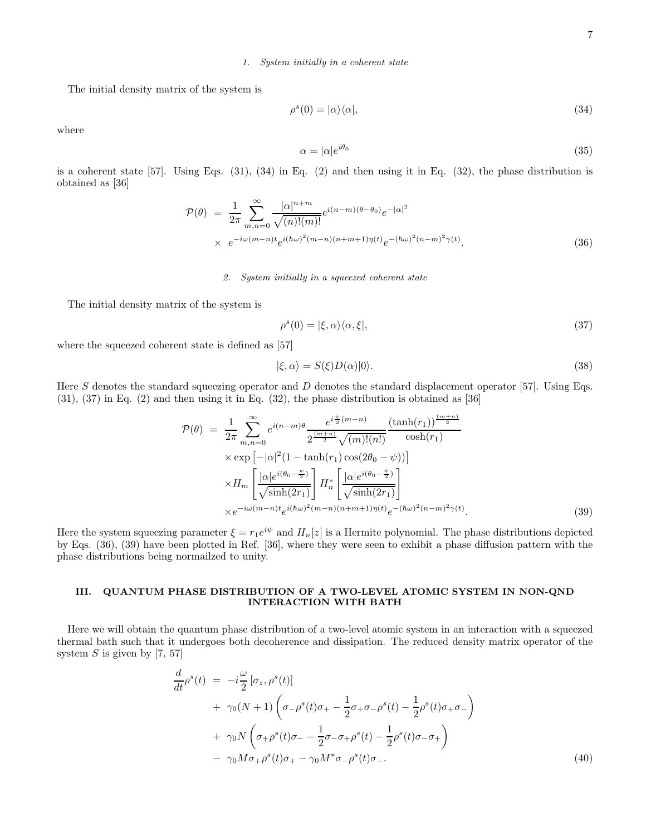# 1. System initially in a coherent state

The initial density matrix of the system is

$$
\rho^s(0) = |\alpha\rangle\langle\alpha|,\tag{34}
$$

where

$$
\alpha = |\alpha|e^{i\theta_0} \tag{35}
$$

is a coherent state [57]. Using Eqs. (31), (34) in Eq. (2) and then using it in Eq. (32), the phase distribution is obtained as [36]

$$
\mathcal{P}(\theta) = \frac{1}{2\pi} \sum_{m,n=0}^{\infty} \frac{|\alpha|^{n+m}}{\sqrt{(n)!(m)!}} e^{i(n-m)(\theta - \theta_0)} e^{-|\alpha|^2} \times e^{-i\omega(m-n)t} e^{i(\hbar\omega)^2(m-n)(n+m+1)\eta(t)} e^{-(\hbar\omega)^2(n-m)^2 \gamma(t)}.
$$
\n(36)

### 2. System initially in a squeezed coherent state

The initial density matrix of the system is

$$
\rho^s(0) = |\xi, \alpha\rangle\langle\alpha, \xi|,\tag{37}
$$

where the squeezed coherent state is defined as [57]

$$
|\xi,\alpha\rangle = S(\xi)D(\alpha)|0\rangle.
$$
\n(38)

Here S denotes the standard squeezing operator and D denotes the standard displacement operator [57]. Using Eqs.  $(31)$ ,  $(37)$  in Eq.  $(2)$  and then using it in Eq.  $(32)$ , the phase distribution is obtained as  $[36]$ 

$$
\mathcal{P}(\theta) = \frac{1}{2\pi} \sum_{m,n=0}^{\infty} e^{i(n-m)\theta} \frac{e^{i\frac{\psi}{2}(m-n)} \left(\tanh(r_1)\right)^{\frac{(m+n)}{2}}}{2^{\frac{(m+n)}{2}} \sqrt{(m)!(n!)}} \exp\left[-|\alpha|^2 (1-\tanh(r_1)\cos(2\theta_0-\psi))\right] \times H_m \left[\frac{|\alpha|e^{i(\theta_0-\frac{\psi}{2})}}{\sqrt{\sinh(2r_1)}}\right] H_n^* \left[\frac{|\alpha|e^{i(\theta_0-\frac{\psi}{2})}}{\sqrt{\sinh(2r_1)}}\right] \times e^{-i\omega(m-n)t} e^{i(\hbar\omega)^2(m-n)(n+m+1)\eta(t)} e^{-(\hbar\omega)^2(n-m)^2 \gamma(t)}.
$$
\n(39)

Here the system squeezing parameter  $\xi = r_1 e^{i\psi}$  and  $H_n[z]$  is a Hermite polynomial. The phase distributions depicted by Eqs. (36), (39) have been plotted in Ref. [36], where they were seen to exhibit a phase diffusion pattern with the phase distributions being normailzed to unity.

# III. QUANTUM PHASE DISTRIBUTION OF A TWO-LEVEL ATOMIC SYSTEM IN NON-QND INTERACTION WITH BATH

Here we will obtain the quantum phase distribution of a two-level atomic system in an interaction with a squeezed thermal bath such that it undergoes both decoherence and dissipation. The reduced density matrix operator of the system  $S$  is given by [7, 57]

$$
\frac{d}{dt}\rho^{s}(t) = -i\frac{\omega}{2} [\sigma_{z}, \rho^{s}(t)] \n+ \gamma_{0}(N+1) \left( \sigma_{-}\rho^{s}(t)\sigma_{+} - \frac{1}{2}\sigma_{+}\sigma_{-}\rho^{s}(t) - \frac{1}{2}\rho^{s}(t)\sigma_{+}\sigma_{-} \right) \n+ \gamma_{0}N \left( \sigma_{+}\rho^{s}(t)\sigma_{-} - \frac{1}{2}\sigma_{-}\sigma_{+}\rho^{s}(t) - \frac{1}{2}\rho^{s}(t)\sigma_{-}\sigma_{+} \right) \n- \gamma_{0}M\sigma_{+}\rho^{s}(t)\sigma_{+} - \gamma_{0}M^{*}\sigma_{-}\rho^{s}(t)\sigma_{-}.
$$
\n(40)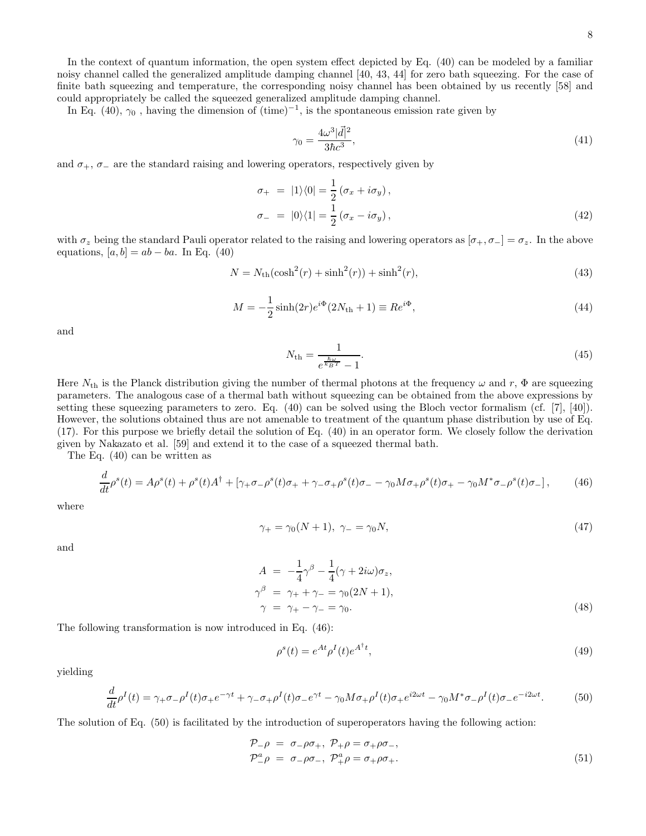In the context of quantum information, the open system effect depicted by Eq. (40) can be modeled by a familiar noisy channel called the generalized amplitude damping channel [40, 43, 44] for zero bath squeezing. For the case of finite bath squeezing and temperature, the corresponding noisy channel has been obtained by us recently [58] and could appropriately be called the squeezed generalized amplitude damping channel.

In Eq. (40),  $\gamma_0$ , having the dimension of  $(\text{time})^{-1}$ , is the spontaneous emission rate given by

$$
\gamma_0 = \frac{4\omega^3|\vec{d}|^2}{3\hbar c^3},\tag{41}
$$

and  $\sigma_+$ ,  $\sigma_-$  are the standard raising and lowering operators, respectively given by

$$
\sigma_{+} = |1\rangle\langle 0| = \frac{1}{2} (\sigma_{x} + i\sigma_{y}),
$$
  
\n
$$
\sigma_{-} = |0\rangle\langle 1| = \frac{1}{2} (\sigma_{x} - i\sigma_{y}),
$$
\n(42)

with  $\sigma_z$  being the standard Pauli operator related to the raising and lowering operators as  $[\sigma_+, \sigma_-] = \sigma_z$ . In the above equations,  $[a, b] = ab - ba$ . In Eq. (40)

$$
N = N_{\rm th}(\cosh^2(r) + \sinh^2(r)) + \sinh^2(r),\tag{43}
$$

$$
M = -\frac{1}{2}\sinh(2r)e^{i\Phi}(2N_{\text{th}} + 1) \equiv Re^{i\Phi}, \tag{44}
$$

and

$$
N_{\rm th} = \frac{1}{e^{\frac{\hbar \omega}{k_B T}} - 1}.\tag{45}
$$

Here  $N_{\text{th}}$  is the Planck distribution giving the number of thermal photons at the frequency  $\omega$  and r,  $\Phi$  are squeezing parameters. The analogous case of a thermal bath without squeezing can be obtained from the above expressions by setting these squeezing parameters to zero. Eq. (40) can be solved using the Bloch vector formalism (cf. [7], [40]). However, the solutions obtained thus are not amenable to treatment of the quantum phase distribution by use of Eq. (17). For this purpose we briefly detail the solution of Eq. (40) in an operator form. We closely follow the derivation given by Nakazato et al. [59] and extend it to the case of a squeezed thermal bath.

The Eq. (40) can be written as

$$
\frac{d}{dt}\rho^s(t) = A\rho^s(t) + \rho^s(t)A^{\dagger} + [\gamma_+\sigma_-\rho^s(t)\sigma_+ + \gamma_-\sigma_+\rho^s(t)\sigma_- - \gamma_0M\sigma_+\rho^s(t)\sigma_+ - \gamma_0M^*\sigma_-\rho^s(t)\sigma_-]\,,\tag{46}
$$

where

$$
\gamma_+ = \gamma_0 (N+1), \ \gamma_- = \gamma_0 N,\tag{47}
$$

and

$$
A = -\frac{1}{4}\gamma^{\beta} - \frac{1}{4}(\gamma + 2i\omega)\sigma_z,
$$
  
\n
$$
\gamma^{\beta} = \gamma_{+} + \gamma_{-} = \gamma_{0}(2N + 1),
$$
  
\n
$$
\gamma = \gamma_{+} - \gamma_{-} = \gamma_{0}.
$$
\n(48)

The following transformation is now introduced in Eq. (46):

$$
\rho^s(t) = e^{At} \rho^I(t) e^{A^\dagger t},\tag{49}
$$

yielding

$$
\frac{d}{dt}\rho^I(t) = \gamma_+\sigma_-\rho^I(t)\sigma_+e^{-\gamma t} + \gamma_-\sigma_+\rho^I(t)\sigma_-e^{\gamma t} - \gamma_0M\sigma_+\rho^I(t)\sigma_+e^{i2\omega t} - \gamma_0M^*\sigma_-\rho^I(t)\sigma_-e^{-i2\omega t}.\tag{50}
$$

The solution of Eq. (50) is facilitated by the introduction of superoperators having the following action:

$$
\mathcal{P}_{-\rho} = \sigma_{-\rho}\sigma_{+}, \ \mathcal{P}_{+\rho} = \sigma_{+\rho}\sigma_{-}, \n\mathcal{P}_{-\rho}^{a} = \sigma_{-\rho}\sigma_{-}, \ \mathcal{P}_{+\rho}^{a} = \sigma_{+\rho}\sigma_{+}.
$$
\n(51)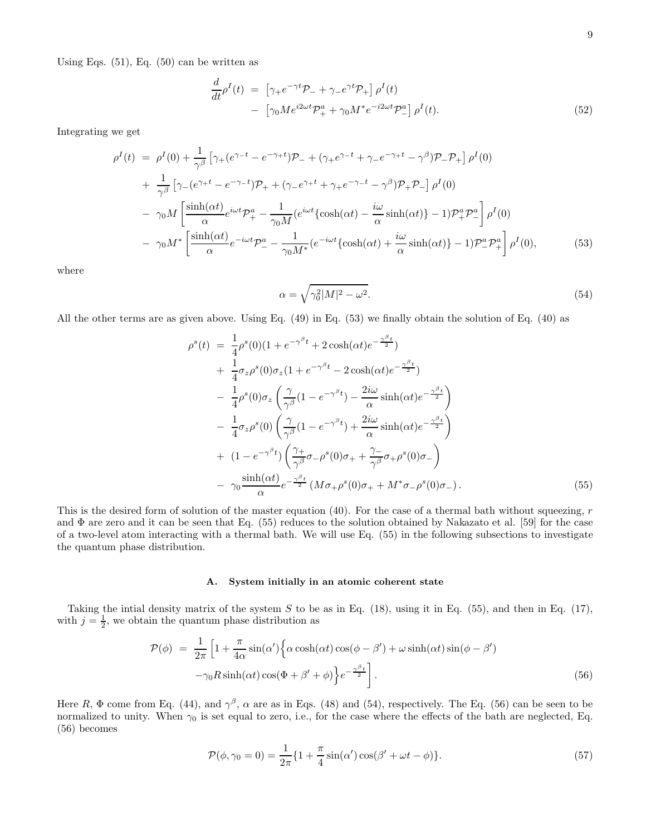Using Eqs.  $(51)$ , Eq.  $(50)$  can be written as

$$
\frac{d}{dt}\rho^I(t) = \left[\gamma_+e^{-\gamma t}\mathcal{P}_- + \gamma_-e^{\gamma t}\mathcal{P}_+\right]\rho^I(t) \n- \left[\gamma_0Me^{i2\omega t}\mathcal{P}_+^a + \gamma_0M^*e^{-i2\omega t}\mathcal{P}_-^a\right]\rho^I(t).
$$
\n(52)

Integrating we get

$$
\rho^{I}(t) = \rho^{I}(0) + \frac{1}{\gamma^{\beta}} \left[ \gamma_{+}(e^{\gamma_{-}t} - e^{-\gamma_{+}t}) \mathcal{P}_{-} + (\gamma_{+}e^{\gamma_{-}t} + \gamma_{-}e^{-\gamma_{+}t} - \gamma^{\beta}) \mathcal{P}_{-} \mathcal{P}_{+} \right] \rho^{I}(0) \n+ \frac{1}{\gamma^{\beta}} \left[ \gamma_{-}(e^{\gamma_{+}t} - e^{-\gamma_{-}t}) \mathcal{P}_{+} + (\gamma_{-}e^{\gamma_{+}t} + \gamma_{+}e^{-\gamma_{-}t} - \gamma^{\beta}) \mathcal{P}_{+} \mathcal{P}_{-} \right] \rho^{I}(0) \n- \gamma_{0} M \left[ \frac{\sinh(\alpha t)}{\alpha} e^{i\omega t} \mathcal{P}_{+}^{a} - \frac{1}{\gamma_{0}M} (e^{i\omega t} {\cosh(\alpha t) - \frac{i\omega}{\alpha} \sinh(\alpha t)} - 1) \mathcal{P}_{+}^{a} \mathcal{P}_{-}^{a} \right] \rho^{I}(0) \n- \gamma_{0} M^{*} \left[ \frac{\sinh(\alpha t)}{\alpha} e^{-i\omega t} \mathcal{P}_{-}^{a} - \frac{1}{\gamma_{0}M^{*}} (e^{-i\omega t} {\cosh(\alpha t) + \frac{i\omega}{\alpha} \sinh(\alpha t)} - 1) \mathcal{P}_{-}^{a} \mathcal{P}_{+}^{a} \right] \rho^{I}(0), \tag{53}
$$

where

$$
\alpha = \sqrt{\gamma_0^2 |M|^2 - \omega^2}.\tag{54}
$$

All the other terms are as given above. Using Eq. (49) in Eq. (53) we finally obtain the solution of Eq. (40) as

$$
\rho^{s}(t) = \frac{1}{4}\rho^{s}(0)(1 + e^{-\gamma^{\beta}t} + 2\cosh(\alpha t)e^{-\frac{\gamma^{\beta}t}{2}}) \n+ \frac{1}{4}\sigma_{z}\rho^{s}(0)\sigma_{z}(1 + e^{-\gamma^{\beta}t} - 2\cosh(\alpha t)e^{-\frac{\gamma^{\beta}t}{2}}) \n- \frac{1}{4}\rho^{s}(0)\sigma_{z}\left(\frac{\gamma}{\gamma^{\beta}}(1 - e^{-\gamma^{\beta}t}) - \frac{2i\omega}{\alpha}\sinh(\alpha t)e^{-\frac{\gamma^{\beta}t}{2}}\right) \n- \frac{1}{4}\sigma_{z}\rho^{s}(0)\left(\frac{\gamma}{\gamma^{\beta}}(1 - e^{-\gamma^{\beta}t}) + \frac{2i\omega}{\alpha}\sinh(\alpha t)e^{-\frac{\gamma^{\beta}t}{2}}\right) \n+ (1 - e^{-\gamma^{\beta}t})\left(\frac{\gamma_{+}}{\gamma^{\beta}}\sigma_{-}\rho^{s}(0)\sigma_{+} + \frac{\gamma_{-}}{\gamma^{\beta}}\sigma_{+}\rho^{s}(0)\sigma_{-}\right) \n- \gamma_{0}\frac{\sinh(\alpha t)}{\alpha}e^{-\frac{\gamma^{\beta}t}{2}}(M\sigma_{+}\rho^{s}(0)\sigma_{+} + M^{*}\sigma_{-}\rho^{s}(0)\sigma_{-}). \tag{55}
$$

This is the desired form of solution of the master equation  $(40)$ . For the case of a thermal bath without squeezing, r and Φ are zero and it can be seen that Eq. (55) reduces to the solution obtained by Nakazato et al. [59] for the case of a two-level atom interacting with a thermal bath. We will use Eq. (55) in the following subsections to investigate the quantum phase distribution.

## A. System initially in an atomic coherent state

Taking the intial density matrix of the system  $S$  to be as in Eq. (18), using it in Eq. (55), and then in Eq. (17), with  $j = \frac{1}{2}$ , we obtain the quantum phase distribution as

$$
\mathcal{P}(\phi) = \frac{1}{2\pi} \left[ 1 + \frac{\pi}{4\alpha} \sin(\alpha') \left\{ \alpha \cosh(\alpha t) \cos(\phi - \beta') + \omega \sinh(\alpha t) \sin(\phi - \beta') - \gamma_0 R \sinh(\alpha t) \cos(\Phi + \beta' + \phi) \right\} e^{-\frac{\gamma \beta t}{2}} \right].
$$
\n(56)

Here R,  $\Phi$  come from Eq. (44), and  $\gamma^{\beta}$ ,  $\alpha$  are as in Eqs. (48) and (54), respectively. The Eq. (56) can be seen to be normalized to unity. When  $\gamma_0$  is set equal to zero, i.e., for the case where the effects of the bath are neglected, Eq. (56) becomes

$$
\mathcal{P}(\phi, \gamma_0 = 0) = \frac{1}{2\pi} \{ 1 + \frac{\pi}{4} \sin(\alpha') \cos(\beta' + \omega t - \phi) \}.
$$
 (57)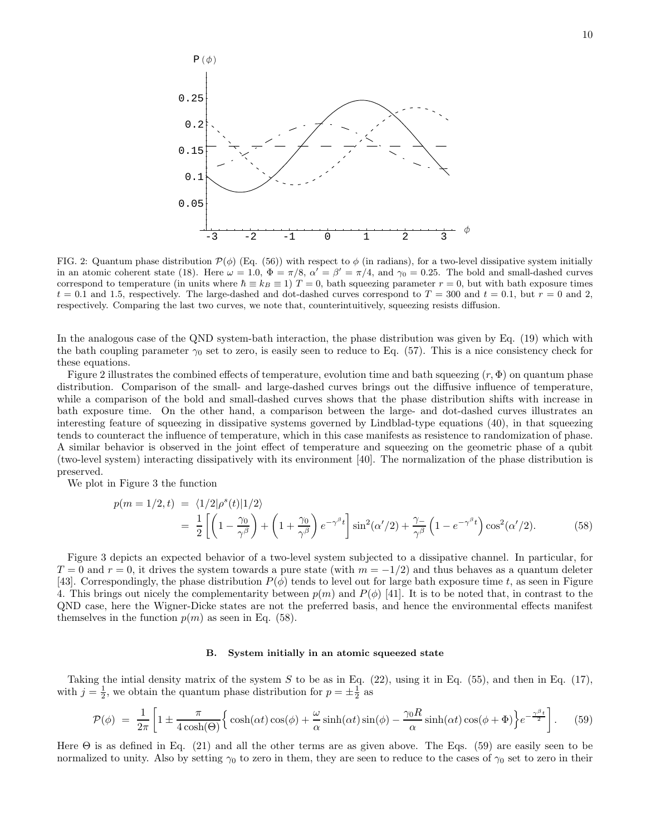

FIG. 2: Quantum phase distribution  $\mathcal{P}(\phi)$  (Eq. (56)) with respect to  $\phi$  (in radians), for a two-level dissipative system initially in an atomic coherent state (18). Here  $\omega = 1.0$ ,  $\Phi = \pi/8$ ,  $\alpha' = \beta' = \pi/4$ , and  $\gamma_0 = 0.25$ . The bold and small-dashed curves correspond to temperature (in units where  $\hbar \equiv k_B \equiv 1$ )  $T = 0$ , bath squeezing parameter  $r = 0$ , but with bath exposure times  $t = 0.1$  and 1.5, respectively. The large-dashed and dot-dashed curves correspond to  $T = 300$  and  $t = 0.1$ , but  $r = 0$  and 2, respectively. Comparing the last two curves, we note that, counterintuitively, squeezing resists diffusion.

In the analogous case of the QND system-bath interaction, the phase distribution was given by Eq. (19) which with the bath coupling parameter  $\gamma_0$  set to zero, is easily seen to reduce to Eq. (57). This is a nice consistency check for these equations.

Figure 2 illustrates the combined effects of temperature, evolution time and bath squeezing  $(r, \Phi)$  on quantum phase distribution. Comparison of the small- and large-dashed curves brings out the diffusive influence of temperature, while a comparison of the bold and small-dashed curves shows that the phase distribution shifts with increase in bath exposure time. On the other hand, a comparison between the large- and dot-dashed curves illustrates an interesting feature of squeezing in dissipative systems governed by Lindblad-type equations (40), in that squeezing tends to counteract the influence of temperature, which in this case manifests as resistence to randomization of phase. A similar behavior is observed in the joint effect of temperature and squeezing on the geometric phase of a qubit (two-level system) interacting dissipatively with its environment [40]. The normalization of the phase distribution is preserved.

We plot in Figure 3 the function

$$
p(m=1/2,t) = \langle 1/2|\rho^{s}(t)|1/2\rangle
$$
  
= 
$$
\frac{1}{2}\left[\left(1-\frac{\gamma_0}{\gamma^{\beta}}\right)+\left(1+\frac{\gamma_0}{\gamma^{\beta}}\right)e^{-\gamma^{\beta}t}\right]\sin^2(\alpha'/2)+\frac{\gamma_-}{\gamma^{\beta}}\left(1-e^{-\gamma^{\beta}t}\right)\cos^2(\alpha'/2).
$$
 (58)

Figure 3 depicts an expected behavior of a two-level system subjected to a dissipative channel. In particular, for  $T = 0$  and  $r = 0$ , it drives the system towards a pure state (with  $m = -1/2$ ) and thus behaves as a quantum deleter [43]. Correspondingly, the phase distribution  $P(\phi)$  tends to level out for large bath exposure time t, as seen in Figure 4. This brings out nicely the complementarity between  $p(m)$  and  $P(\phi)$  [41]. It is to be noted that, in contrast to the QND case, here the Wigner-Dicke states are not the preferred basis, and hence the environmental effects manifest themselves in the function  $p(m)$  as seen in Eq. (58).

#### B. System initially in an atomic squeezed state

Taking the intial density matrix of the system  $S$  to be as in Eq. (22), using it in Eq. (55), and then in Eq. (17), with  $j = \frac{1}{2}$ , we obtain the quantum phase distribution for  $p = \pm \frac{1}{2}$  as

$$
\mathcal{P}(\phi) = \frac{1}{2\pi} \left[ 1 \pm \frac{\pi}{4\cosh(\Theta)} \Big\{ \cosh(\alpha t) \cos(\phi) + \frac{\omega}{\alpha} \sinh(\alpha t) \sin(\phi) - \frac{\gamma_0 R}{\alpha} \sinh(\alpha t) \cos(\phi + \Phi) \Big\} e^{-\frac{\gamma \beta t}{2}} \right].
$$
 (59)

Here  $\Theta$  is as defined in Eq. (21) and all the other terms are as given above. The Eqs. (59) are easily seen to be normalized to unity. Also by setting  $\gamma_0$  to zero in them, they are seen to reduce to the cases of  $\gamma_0$  set to zero in their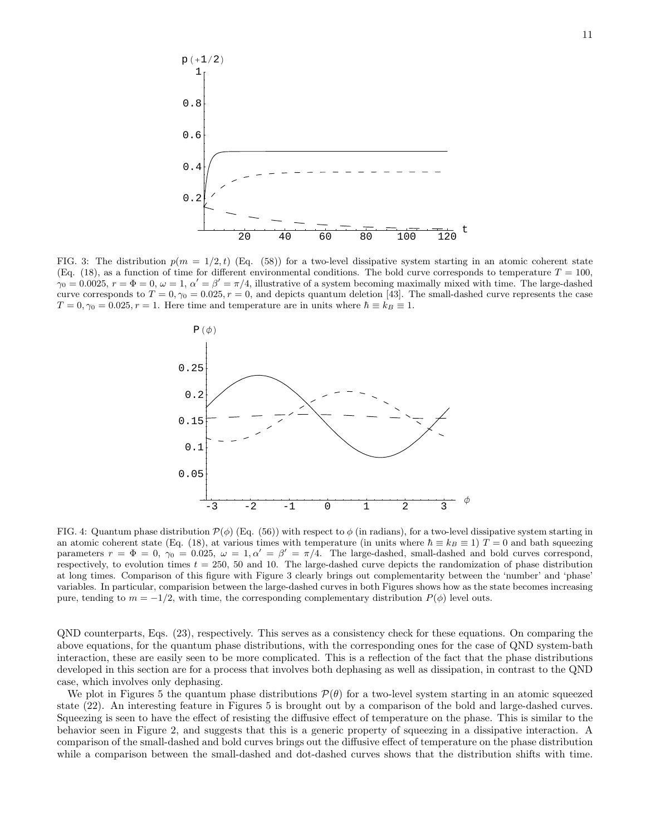

FIG. 3: The distribution  $p(m = 1/2, t)$  (Eq. (58)) for a two-level dissipative system starting in an atomic coherent state (Eq. (18), as a function of time for different environmental conditions. The bold curve corresponds to temperature  $T = 100$ ,  $\gamma_0 = 0.0025$ ,  $r = \Phi = 0$ ,  $\omega = 1$ ,  $\alpha' = \beta' = \pi/4$ , illustrative of a system becoming maximally mixed with time. The large-dashed curve corresponds to  $T = 0, \gamma_0 = 0.025, r = 0$ , and depicts quantum deletion [43]. The small-dashed curve represents the case  $T = 0, \gamma_0 = 0.025, r = 1$ . Here time and temperature are in units where  $\hbar \equiv k_B \equiv 1$ .



FIG. 4: Quantum phase distribution  $\mathcal{P}(\phi)$  (Eq. (56)) with respect to  $\phi$  (in radians), for a two-level dissipative system starting in an atomic coherent state (Eq. (18), at various times with temperature (in units where  $\hbar \equiv k_B \equiv 1$ )  $T = 0$  and bath squeezing parameters  $r = \Phi = 0$ ,  $\gamma_0 = 0.025$ ,  $\omega = 1, \alpha' = \beta' = \pi/4$ . The large-dashed, small-dashed and bold curves correspond, respectively, to evolution times  $t = 250$ , 50 and 10. The large-dashed curve depicts the randomization of phase distribution at long times. Comparison of this figure with Figure 3 clearly brings out complementarity between the 'number' and 'phase' variables. In particular, comparision between the large-dashed curves in both Figures shows how as the state becomes increasing pure, tending to  $m = -1/2$ , with time, the corresponding complementary distribution  $P(\phi)$  level outs.

QND counterparts, Eqs. (23), respectively. This serves as a consistency check for these equations. On comparing the above equations, for the quantum phase distributions, with the corresponding ones for the case of QND system-bath interaction, these are easily seen to be more complicated. This is a reflection of the fact that the phase distributions developed in this section are for a process that involves both dephasing as well as dissipation, in contrast to the QND case, which involves only dephasing.

We plot in Figures 5 the quantum phase distributions  $\mathcal{P}(\theta)$  for a two-level system starting in an atomic squeezed state (22). An interesting feature in Figures 5 is brought out by a comparison of the bold and large-dashed curves. Squeezing is seen to have the effect of resisting the diffusive effect of temperature on the phase. This is similar to the behavior seen in Figure 2, and suggests that this is a generic property of squeezing in a dissipative interaction. A comparison of the small-dashed and bold curves brings out the diffusive effect of temperature on the phase distribution while a comparison between the small-dashed and dot-dashed curves shows that the distribution shifts with time.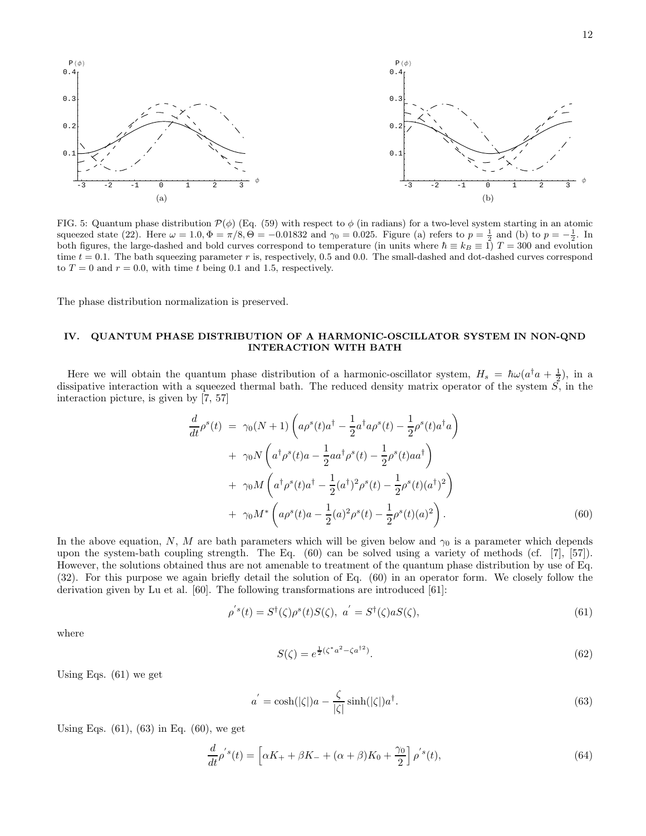

FIG. 5: Quantum phase distribution  $\mathcal{P}(\phi)$  (Eq. (59) with respect to  $\phi$  (in radians) for a two-level system starting in an atomic squeezed state (22). Here  $\omega = 1.0$ ,  $\Phi = \pi/8$ ,  $\dot{\Theta} = -0.01832$  and  $\gamma_0 = 0.025$ . Figure (a) refers to  $p = \frac{1}{2}$  and (b) to  $p = -\frac{1}{2}$ . In both figures, the large-dashed and bold curves correspond to temperature (in units where  $\hbar \equiv k_B \equiv 1$ ) T = 300 and evolution time  $t = 0.1$ . The bath squeezing parameter r is, respectively, 0.5 and 0.0. The small-dashed and dot-dashed curves correspond to  $T = 0$  and  $r = 0.0$ , with time t being 0.1 and 1.5, respectively.

The phase distribution normalization is preserved.

# IV. QUANTUM PHASE DISTRIBUTION OF A HARMONIC-OSCILLATOR SYSTEM IN NON-QND INTERACTION WITH BATH

Here we will obtain the quantum phase distribution of a harmonic-oscillator system,  $H_s = \hbar \omega (a^{\dagger} a + \frac{1}{2})$ , in a dissipative interaction with a squeezed thermal bath. The reduced density matrix operator of the system  $\overline{S}$ , in the interaction picture, is given by [7, 57]

$$
\frac{d}{dt}\rho^{s}(t) = \gamma_{0}(N+1)\left(a\rho^{s}(t)a^{\dagger} - \frac{1}{2}a^{\dagger}a\rho^{s}(t) - \frac{1}{2}\rho^{s}(t)a^{\dagger}a\right) \n+ \gamma_{0}N\left(a^{\dagger}\rho^{s}(t)a - \frac{1}{2}aa^{\dagger}\rho^{s}(t) - \frac{1}{2}\rho^{s}(t)aa^{\dagger}\right) \n+ \gamma_{0}M\left(a^{\dagger}\rho^{s}(t)a^{\dagger} - \frac{1}{2}(a^{\dagger})^{2}\rho^{s}(t) - \frac{1}{2}\rho^{s}(t)(a^{\dagger})^{2}\right) \n+ \gamma_{0}M^{*}\left(a\rho^{s}(t)a - \frac{1}{2}(a)^{2}\rho^{s}(t) - \frac{1}{2}\rho^{s}(t)(a)^{2}\right).
$$
\n(60)

In the above equation, N, M are bath parameters which will be given below and  $\gamma_0$  is a parameter which depends upon the system-bath coupling strength. The Eq. (60) can be solved using a variety of methods (cf. [7], [57]). However, the solutions obtained thus are not amenable to treatment of the quantum phase distribution by use of Eq. (32). For this purpose we again briefly detail the solution of Eq. (60) in an operator form. We closely follow the derivation given by Lu et al. [60]. The following transformations are introduced [61]:

$$
\rho^{'s}(t) = S^{\dagger}(\zeta)\rho^{s}(t)S(\zeta), \quad a^{'} = S^{\dagger}(\zeta)aS(\zeta),\tag{61}
$$

where

$$
S(\zeta) = e^{\frac{1}{2}(\zeta^* a^2 - \zeta a^{\dagger 2})}.
$$
\n(62)

Using Eqs. (61) we get

$$
a' = \cosh(|\zeta|)a - \frac{\zeta}{|\zeta|}\sinh(|\zeta|)a^{\dagger}.
$$
\n(63)

Using Eqs.  $(61)$ ,  $(63)$  in Eq.  $(60)$ , we get

$$
\frac{d}{dt}\rho^{'s}(t) = \left[\alpha K_{+} + \beta K_{-} + (\alpha + \beta)K_{0} + \frac{\gamma_{0}}{2}\right]\rho^{'s}(t),\tag{64}
$$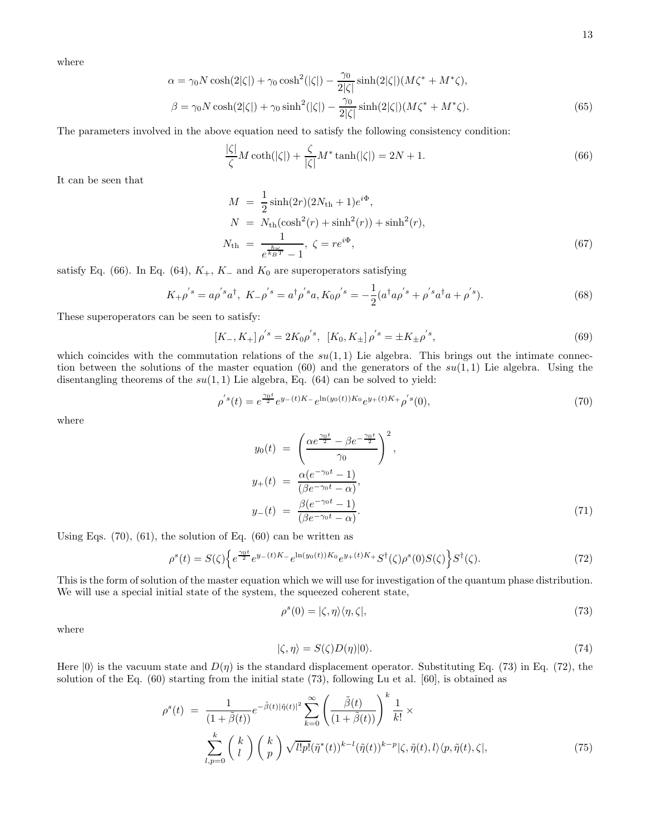where

$$
\alpha = \gamma_0 N \cosh(2|\zeta|) + \gamma_0 \cosh^2(|\zeta|) - \frac{\gamma_0}{2|\zeta|} \sinh(2|\zeta|) (M\zeta^* + M^*\zeta),
$$
  

$$
\beta = \gamma_0 N \cosh(2|\zeta|) + \gamma_0 \sinh^2(|\zeta|) - \frac{\gamma_0}{2|\zeta|} \sinh(2|\zeta|) (M\zeta^* + M^*\zeta).
$$
 (65)

The parameters involved in the above equation need to satisfy the following consistency condition:

$$
\frac{|\zeta|}{\zeta}M\coth(|\zeta|) + \frac{\zeta}{|\zeta|}M^*\tanh(|\zeta|) = 2N + 1.
$$
\n(66)

It can be seen that

$$
M = \frac{1}{2}\sinh(2r)(2N_{\rm th} + 1)e^{i\Phi},
$$
  
\n
$$
N = N_{\rm th}(\cosh^2(r) + \sinh^2(r)) + \sinh^2(r),
$$
  
\n
$$
N_{\rm th} = \frac{1}{e^{\frac{\hbar\omega}{k_BT}} - 1}, \zeta = re^{i\Phi},
$$
\n(67)

satisfy Eq. (66). In Eq. (64),  $K_+$ ,  $K_-$  and  $K_0$  are superoperators satisfying

$$
K_{+} \rho^{'s} = a \rho^{'s} a^{\dagger}, \ K_{-} \rho^{'s} = a^{\dagger} \rho^{'s} a, K_{0} \rho^{'s} = -\frac{1}{2} (a^{\dagger} a \rho^{'s} + \rho^{'s} a^{\dagger} a + \rho^{'s}). \tag{68}
$$

These superoperators can be seen to satisfy:

$$
[K_{-}, K_{+}] \rho^{'s} = 2K_{0} \rho^{'s}, \ [K_{0}, K_{\pm}] \rho^{'s} = \pm K_{\pm} \rho^{'s}, \tag{69}
$$

which coincides with the commutation relations of the  $su(1,1)$  Lie algebra. This brings out the intimate connection between the solutions of the master equation (60) and the generators of the  $su(1,1)$  Lie algebra. Using the disentangling theorems of the  $su(1,1)$  Lie algebra, Eq. (64) can be solved to yield:

$$
\rho^{'s}(t) = e^{\frac{\gamma_0 t}{2}} e^{y_{-}(t)K_{-}} e^{\ln(y_0(t))K_0} e^{y_{+}(t)K_{+}} \rho^{'s}(0), \tag{70}
$$

where

$$
y_0(t) = \left(\frac{\alpha e^{\frac{\gamma_0 t}{2}} - \beta e^{-\frac{\gamma_0 t}{2}}}{\gamma_0}\right)^2,
$$
  
\n
$$
y_+(t) = \frac{\alpha(e^{-\gamma_0 t} - 1)}{(\beta e^{-\gamma_0 t} - \alpha)},
$$
  
\n
$$
y_-(t) = \frac{\beta(e^{-\gamma_0 t} - 1)}{(\beta e^{-\gamma_0 t} - \alpha)}.
$$
\n(71)

Using Eqs.  $(70)$ ,  $(61)$ , the solution of Eq.  $(60)$  can be written as

$$
\rho^{s}(t) = S(\zeta) \Big\{ e^{\frac{\gamma_{0}t}{2}} e^{y_{-}(t)K_{-}} e^{\ln(y_{0}(t))K_{0}} e^{y_{+}(t)K_{+}} S^{\dagger}(\zeta) \rho^{s}(0) S(\zeta) \Big\} S^{\dagger}(\zeta). \tag{72}
$$

This is the form of solution of the master equation which we will use for investigation of the quantum phase distribution. We will use a special initial state of the system, the squeezed coherent state,

$$
\rho^s(0) = |\zeta, \eta\rangle\langle\eta, \zeta|,\tag{73}
$$

where

$$
|\zeta,\eta\rangle = S(\zeta)D(\eta)|0\rangle. \tag{74}
$$

Here  $|0\rangle$  is the vacuum state and  $D(\eta)$  is the standard displacement operator. Substituting Eq. (73) in Eq. (72), the solution of the Eq. (60) starting from the initial state (73), following Lu et al. [60], is obtained as

$$
\rho^{s}(t) = \frac{1}{(1+\tilde{\beta}(t))}e^{-\tilde{\beta}(t)|\tilde{\eta}(t)|^{2}}\sum_{k=0}^{\infty} \left(\frac{\tilde{\beta}(t)}{(1+\tilde{\beta}(t))}\right)^{k} \frac{1}{k!} \times \sum_{l,p=0}^{k} \binom{k}{l} \binom{k}{p} \sqrt{l!p!} (\tilde{\eta}^{*}(t))^{k-l} (\tilde{\eta}(t))^{k-p} |\zeta, \tilde{\eta}(t), l \rangle \langle p, \tilde{\eta}(t), \zeta|, \tag{75}
$$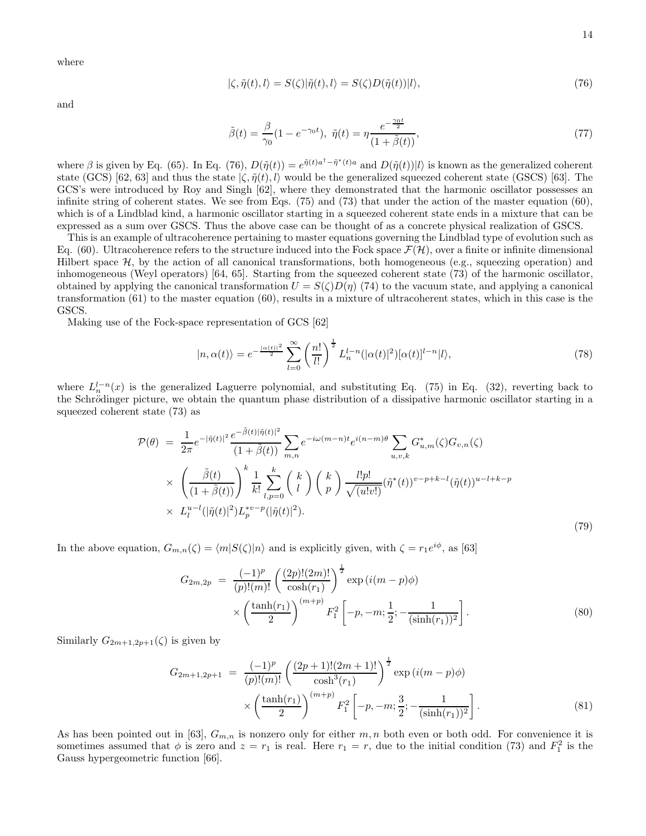where

$$
|\zeta, \tilde{\eta}(t), l\rangle = S(\zeta)|\tilde{\eta}(t), l\rangle = S(\zeta)D(\tilde{\eta}(t))|l\rangle, \qquad (76)
$$

and

$$
\tilde{\beta}(t) = \frac{\beta}{\gamma_0} (1 - e^{-\gamma_0 t}), \quad \tilde{\eta}(t) = \eta \frac{e^{-\frac{\gamma_0 t}{2}}}{(1 + \tilde{\beta}(t))},\tag{77}
$$

where  $\beta$  is given by Eq. (65). In Eq. (76),  $D(\tilde{\eta}(t)) = e^{\tilde{\eta}(t)a^{\dagger} - \tilde{\eta}^*(t)a}$  and  $D(\tilde{\eta}(t))|l\rangle$  is known as the generalized coherent state (GCS) [62, 63] and thus the state  $\langle \zeta, \tilde{\eta}(t), l \rangle$  would be the generalized squeezed coherent state (GSCS) [63]. The GCS's were introduced by Roy and Singh [62], where they demonstrated that the harmonic oscillator possesses an infinite string of coherent states. We see from Eqs. (75) and (73) that under the action of the master equation (60), which is of a Lindblad kind, a harmonic oscillator starting in a squeezed coherent state ends in a mixture that can be expressed as a sum over GSCS. Thus the above case can be thought of as a concrete physical realization of GSCS.

This is an example of ultracoherence pertaining to master equations governing the Lindblad type of evolution such as Eq. (60). Ultracoherence refers to the structure induced into the Fock space  $\mathcal{F}(\mathcal{H})$ , over a finite or infinite dimensional Hilbert space  $H$ , by the action of all canonical transformations, both homogeneous (e.g., squeezing operation) and inhomogeneous (Weyl operators) [64, 65]. Starting from the squeezed coherent state (73) of the harmonic oscillator, obtained by applying the canonical transformation  $U = S(\zeta)D(\eta)$  (74) to the vacuum state, and applying a canonical transformation (61) to the master equation (60), results in a mixture of ultracoherent states, which in this case is the GSCS.

Making use of the Fock-space representation of GCS [62]

$$
|n,\alpha(t)\rangle = e^{-\frac{|\alpha(t)|^2}{2}} \sum_{l=0}^{\infty} \left(\frac{n!}{l!}\right)^{\frac{1}{2}} L_n^{l-n}(|\alpha(t)|^2) [\alpha(t)]^{l-n} |l\rangle,\tag{78}
$$

where  $L_n^{l-n}(x)$  is the generalized Laguerre polynomial, and substituting Eq. (75) in Eq. (32), reverting back to the Schrödinger picture, we obtain the quantum phase distribution of a dissipative harmonic oscillator starting in a squeezed coherent state (73) as

$$
\mathcal{P}(\theta) = \frac{1}{2\pi} e^{-|\tilde{\eta}(t)|^{2}} \frac{e^{-\tilde{\beta}(t)|\tilde{\eta}(t)|^{2}}}{(1+\tilde{\beta}(t))} \sum_{m,n} e^{-i\omega(m-n)t} e^{i(n-m)\theta} \sum_{u,v,k} G_{u,m}^{*}(\zeta) G_{v,n}(\zeta)
$$
  
 
$$
\times \left( \frac{\tilde{\beta}(t)}{(1+\tilde{\beta}(t))} \right)^{k} \frac{1}{k!} \sum_{l,p=0}^{k} \binom{k}{l} \left( \frac{k}{p} \right) \frac{l!p!}{\sqrt{(u!v!)}} (\tilde{\eta}^{*}(t))^{v-p+k-l} (\tilde{\eta}(t))^{u-l+k-p}
$$
  
 
$$
\times L_{l}^{u-l}(|\tilde{\eta}(t)|^{2}) L_{p}^{*v-p}(|\tilde{\eta}(t)|^{2}). \tag{79}
$$

In the above equation,  $G_{m,n}(\zeta) = \langle m|S(\zeta)|n\rangle$  and is explicitly given, with  $\zeta = r_1e^{i\phi}$ , as [63]

$$
G_{2m,2p} = \frac{(-1)^p}{(p)!(m)!} \left(\frac{(2p)!(2m)!}{\cosh(r_1)}\right)^{\frac{1}{2}} \exp\left(i(m-p)\phi\right) \times \left(\frac{\tanh(r_1)}{2}\right)^{(m+p)} F_1^2 \left[-p,-m;\frac{1}{2};-\frac{1}{(\sinh(r_1))^2}\right].
$$
\n(80)

Similarly  $G_{2m+1,2p+1}(\zeta)$  is given by

$$
G_{2m+1,2p+1} = \frac{(-1)^p}{(p)!(m)!} \left(\frac{(2p+1)!(2m+1)!}{\cosh^3(r_1)}\right)^{\frac{1}{2}} \exp\left(i(m-p)\phi\right)
$$

$$
\times \left(\frac{\tanh(r_1)}{2}\right)^{(m+p)} F_1^2 \left[-p,-m;\frac{3}{2};-\frac{1}{(\sinh(r_1))^2}\right].
$$
(81)

As has been pointed out in [63],  $G_{m,n}$  is nonzero only for either m, n both even or both odd. For convenience it is sometimes assumed that  $\phi$  is zero and  $z = r_1$  is real. Here  $r_1 = r$ , due to the initial condition (73) and  $F_1^2$  is the Gauss hypergeometric function [66].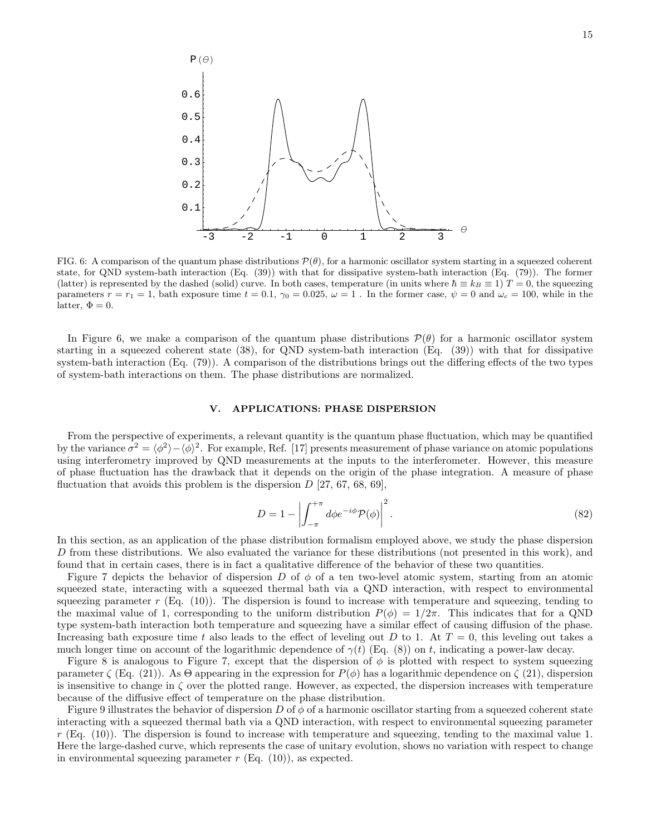

FIG. 6: A comparison of the quantum phase distributions  $\mathcal{P}(\theta)$ , for a harmonic oscillator system starting in a squeezed coherent state, for QND system-bath interaction (Eq. (39)) with that for dissipative system-bath interaction (Eq. (79)). The former (latter) is represented by the dashed (solid) curve. In both cases, temperature (in units where  $\hbar \equiv k_B \equiv 1$ )  $T = 0$ , the squeezing parameters  $r = r_1 = 1$ , bath exposure time  $t = 0.1$ ,  $\gamma_0 = 0.025$ ,  $\omega = 1$ . In the former case,  $\psi = 0$  and  $\omega_c = 100$ , while in the latter,  $\Phi = 0$ .

In Figure 6, we make a comparison of the quantum phase distributions  $\mathcal{P}(\theta)$  for a harmonic oscillator system starting in a squeezed coherent state (38), for QND system-bath interaction (Eq. (39)) with that for dissipative system-bath interaction (Eq. (79)). A comparison of the distributions brings out the differing effects of the two types of system-bath interactions on them. The phase distributions are normalized.

#### V. APPLICATIONS: PHASE DISPERSION

From the perspective of experiments, a relevant quantity is the quantum phase fluctuation, which may be quantified by the variance  $\sigma^2 = \langle \phi^2 \rangle - \langle \phi \rangle^2$ . For example, Ref. [17] presents measurement of phase variance on atomic populations using interferometry improved by QND measurements at the inputs to the interferometer. However, this measure of phase fluctuation has the drawback that it depends on the origin of the phase integration. A measure of phase fluctuation that avoids this problem is the dispersion  $D$  [27, 67, 68, 69].

$$
D = 1 - \left| \int_{-\pi}^{+\pi} d\phi e^{-i\phi} \mathcal{P}(\phi) \right|^2.
$$
 (82)

In this section, as an application of the phase distribution formalism employed above, we study the phase dispersion D from these distributions. We also evaluated the variance for these distributions (not presented in this work), and found that in certain cases, there is in fact a qualitative difference of the behavior of these two quantities.

Figure 7 depicts the behavior of dispersion D of  $\phi$  of a ten two-level atomic system, starting from an atomic squeezed state, interacting with a squeezed thermal bath via a QND interaction, with respect to environmental squeezing parameter  $r$  (Eq. (10)). The dispersion is found to increase with temperature and squeezing, tending to the maximal value of 1, corresponding to the uniform distribution  $P(\phi) = 1/2\pi$ . This indicates that for a QND type system-bath interaction both temperature and squeezing have a similar effect of causing diffusion of the phase. Increasing bath exposure time t also leads to the effect of leveling out D to 1. At  $T = 0$ , this leveling out takes a much longer time on account of the logarithmic dependence of  $\gamma(t)$  (Eq. (8)) on t, indicating a power-law decay.

Figure 8 is analogous to Figure 7, except that the dispersion of  $\phi$  is plotted with respect to system squeezing parameter  $\zeta$  (Eq. (21)). As  $\Theta$  appearing in the expression for  $P(\phi)$  has a logarithmic dependence on  $\zeta$  (21), dispersion is insensitive to change in  $\zeta$  over the plotted range. However, as expected, the dispersion increases with temperature because of the diffusive effect of temperature on the phase distribution.

Figure 9 illustrates the behavior of dispersion D of  $\phi$  of a harmonic oscillator starting from a squeezed coherent state interacting with a squeezed thermal bath via a QND interaction, with respect to environmental squeezing parameter  $r$  (Eq. (10)). The dispersion is found to increase with temperature and squeezing, tending to the maximal value 1. Here the large-dashed curve, which represents the case of unitary evolution, shows no variation with respect to change in environmental squeezing parameter  $r$  (Eq. (10)), as expected.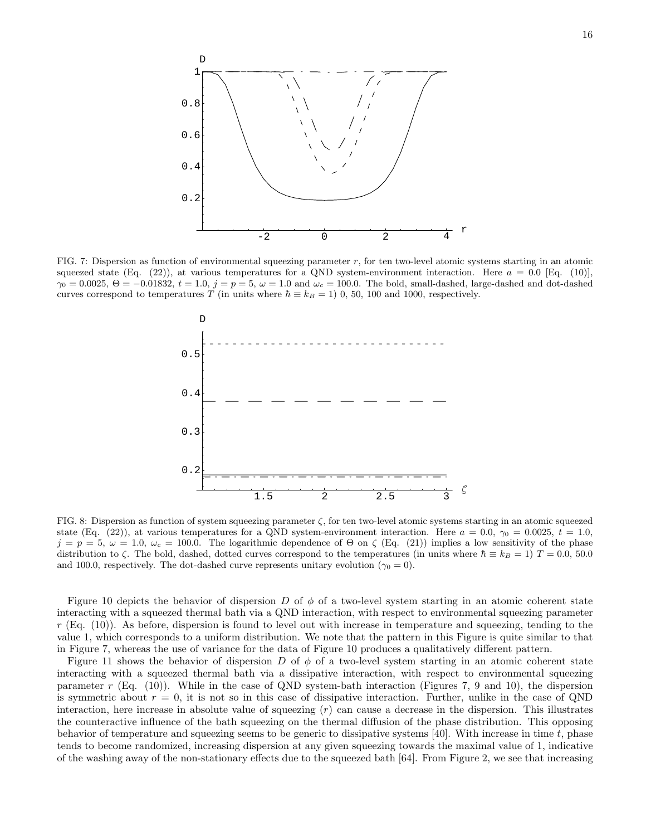

FIG. 7: Dispersion as function of environmental squeezing parameter  $r$ , for ten two-level atomic systems starting in an atomic squeezed state (Eq. (22)), at various temperatures for a QND system-environment interaction. Here  $a = 0.0$  [Eq. (10)],  $\gamma_0 = 0.0025$ ,  $\Theta = -0.01832$ ,  $t = 1.0$ ,  $j = p = 5$ ,  $\omega = 1.0$  and  $\omega_c = 100.0$ . The bold, small-dashed, large-dashed and dot-dashed curves correspond to temperatures T (in units where  $\hbar \equiv k_B = 1$ ) 0, 50, 100 and 1000, respectively.



FIG. 8: Dispersion as function of system squeezing parameter  $\zeta$ , for ten two-level atomic systems starting in an atomic squeezed state (Eq. (22)), at various temperatures for a QND system-environment interaction. Here  $a = 0.0, \gamma_0 = 0.0025, t = 1.0$ ,  $j = p = 5, \omega = 1.0, \omega_c = 100.0.$  The logarithmic dependence of  $\Theta$  on  $\zeta$  (Eq. (21)) implies a low sensitivity of the phase distribution to  $\zeta$ . The bold, dashed, dotted curves correspond to the temperatures (in units where  $\hbar \equiv k_B = 1$ )  $T = 0.0, 50.0$ and 100.0, respectively. The dot-dashed curve represents unitary evolution ( $\gamma_0 = 0$ ).

Figure 10 depicts the behavior of dispersion D of  $\phi$  of a two-level system starting in an atomic coherent state interacting with a squeezed thermal bath via a QND interaction, with respect to environmental squeezing parameter  $r$  (Eq. (10)). As before, dispersion is found to level out with increase in temperature and squeezing, tending to the value 1, which corresponds to a uniform distribution. We note that the pattern in this Figure is quite similar to that in Figure 7, whereas the use of variance for the data of Figure 10 produces a qualitatively different pattern.

Figure 11 shows the behavior of dispersion D of  $\phi$  of a two-level system starting in an atomic coherent state interacting with a squeezed thermal bath via a dissipative interaction, with respect to environmental squeezing parameter r (Eq. (10)). While in the case of QND system-bath interaction (Figures 7, 9 and 10), the dispersion is symmetric about  $r = 0$ , it is not so in this case of dissipative interaction. Further, unlike in the case of QND interaction, here increase in absolute value of squeezing (r) can cause a decrease in the dispersion. This illustrates the counteractive influence of the bath squeezing on the thermal diffusion of the phase distribution. This opposing behavior of temperature and squeezing seems to be generic to dissipative systems  $[40]$ . With increase in time t, phase tends to become randomized, increasing dispersion at any given squeezing towards the maximal value of 1, indicative of the washing away of the non-stationary effects due to the squeezed bath [64]. From Figure 2, we see that increasing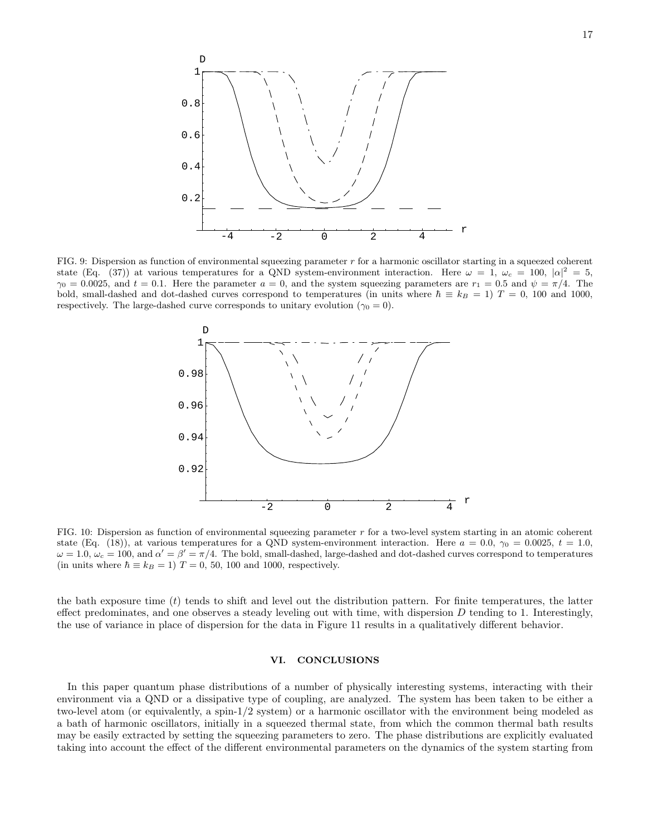

FIG. 9: Dispersion as function of environmental squeezing parameter r for a harmonic oscillator starting in a squeezed coherent state (Eq. (37)) at various temperatures for a QND system-environment interaction. Here  $\omega = 1$ ,  $\omega_c = 100$ ,  $|\alpha|^2 = 5$ ,  $\gamma_0 = 0.0025$ , and  $t = 0.1$ . Here the parameter  $a = 0$ , and the system squeezing parameters are  $r_1 = 0.5$  and  $\psi = \pi/4$ . The bold, small-dashed and dot-dashed curves correspond to temperatures (in units where  $\hbar \equiv k_B = 1$ )  $T = 0$ , 100 and 1000, respectively. The large-dashed curve corresponds to unitary evolution ( $\gamma_0 = 0$ ).



FIG. 10: Dispersion as function of environmental squeezing parameter r for a two-level system starting in an atomic coherent state (Eq. (18)), at various temperatures for a QND system-environment interaction. Here  $a = 0.0$ ,  $\gamma_0 = 0.0025$ ,  $t = 1.0$ ,  $\omega = 1.0$ ,  $\omega_c = 100$ , and  $\alpha' = \beta' = \pi/4$ . The bold, small-dashed, large-dashed and dot-dashed curves correspond to temperatures (in units where  $\hbar \equiv k_B = 1$ )  $T = 0$ , 50, 100 and 1000, respectively.

the bath exposure time  $(t)$  tends to shift and level out the distribution pattern. For finite temperatures, the latter effect predominates, and one observes a steady leveling out with time, with dispersion  $D$  tending to 1. Interestingly, the use of variance in place of dispersion for the data in Figure 11 results in a qualitatively different behavior.

## VI. CONCLUSIONS

In this paper quantum phase distributions of a number of physically interesting systems, interacting with their environment via a QND or a dissipative type of coupling, are analyzed. The system has been taken to be either a two-level atom (or equivalently, a spin-1/2 system) or a harmonic oscillator with the environment being modeled as a bath of harmonic oscillators, initially in a squeezed thermal state, from which the common thermal bath results may be easily extracted by setting the squeezing parameters to zero. The phase distributions are explicitly evaluated taking into account the effect of the different environmental parameters on the dynamics of the system starting from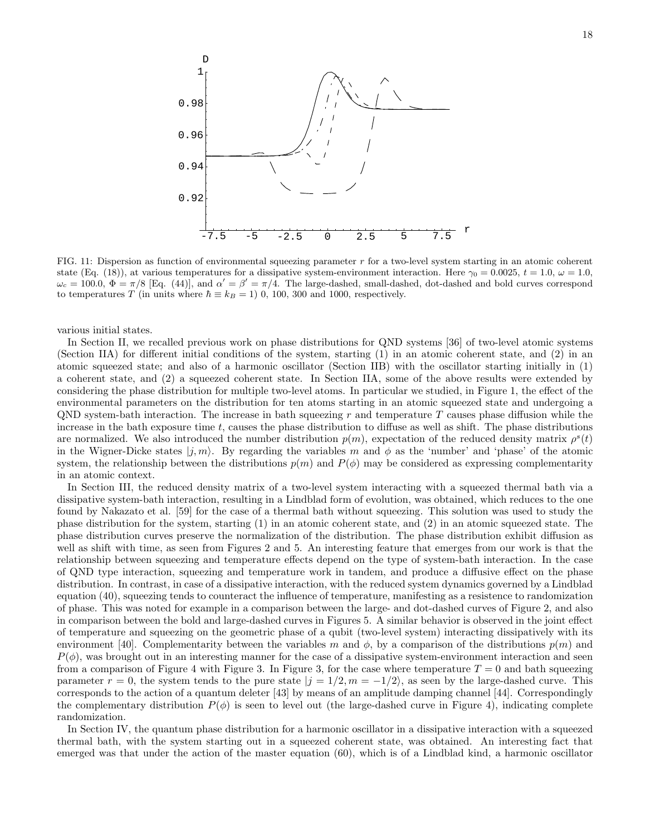

FIG. 11: Dispersion as function of environmental squeezing parameter r for a two-level system starting in an atomic coherent state (Eq. (18)), at various temperatures for a dissipative system-environment interaction. Here  $\gamma_0 = 0.0025$ ,  $t = 1.0$ ,  $\omega = 1.0$ ,  $\omega_c = 100.0$ ,  $\Phi = \pi/8$  [Eq. (44)], and  $\alpha' = \beta' = \pi/4$ . The large-dashed, small-dashed, dot-dashed and bold curves correspond to temperatures T (in units where  $\hbar \equiv k_B = 1$ ) 0, 100, 300 and 1000, respectively.

various initial states.

In Section II, we recalled previous work on phase distributions for QND systems [36] of two-level atomic systems (Section IIA) for different initial conditions of the system, starting (1) in an atomic coherent state, and (2) in an atomic squeezed state; and also of a harmonic oscillator (Section IIB) with the oscillator starting initially in (1) a coherent state, and (2) a squeezed coherent state. In Section IIA, some of the above results were extended by considering the phase distribution for multiple two-level atoms. In particular we studied, in Figure 1, the effect of the environmental parameters on the distribution for ten atoms starting in an atomic squeezed state and undergoing a QND system-bath interaction. The increase in bath squeezing r and temperature T causes phase diffusion while the increase in the bath exposure time t, causes the phase distribution to diffuse as well as shift. The phase distributions are normalized. We also introduced the number distribution  $p(m)$ , expectation of the reduced density matrix  $\rho^{s}(t)$ in the Wigner-Dicke states  $|i, m\rangle$ . By regarding the variables m and  $\phi$  as the 'number' and 'phase' of the atomic system, the relationship between the distributions  $p(m)$  and  $P(\phi)$  may be considered as expressing complementarity in an atomic context.

In Section III, the reduced density matrix of a two-level system interacting with a squeezed thermal bath via a dissipative system-bath interaction, resulting in a Lindblad form of evolution, was obtained, which reduces to the one found by Nakazato et al. [59] for the case of a thermal bath without squeezing. This solution was used to study the phase distribution for the system, starting (1) in an atomic coherent state, and (2) in an atomic squeezed state. The phase distribution curves preserve the normalization of the distribution. The phase distribution exhibit diffusion as well as shift with time, as seen from Figures 2 and 5. An interesting feature that emerges from our work is that the relationship between squeezing and temperature effects depend on the type of system-bath interaction. In the case of QND type interaction, squeezing and temperature work in tandem, and produce a diffusive effect on the phase distribution. In contrast, in case of a dissipative interaction, with the reduced system dynamics governed by a Lindblad equation (40), squeezing tends to counteract the influence of temperature, manifesting as a resistence to randomization of phase. This was noted for example in a comparison between the large- and dot-dashed curves of Figure 2, and also in comparison between the bold and large-dashed curves in Figures 5. A similar behavior is observed in the joint effect of temperature and squeezing on the geometric phase of a qubit (two-level system) interacting dissipatively with its environment [40]. Complementarity between the variables m and  $\phi$ , by a comparison of the distributions  $p(m)$  and  $P(\phi)$ , was brought out in an interesting manner for the case of a dissipative system-environment interaction and seen from a comparison of Figure 4 with Figure 3. In Figure 3, for the case where temperature  $T = 0$  and bath squeezing parameter  $r = 0$ , the system tends to the pure state  $|j = 1/2, m = -1/2\rangle$ , as seen by the large-dashed curve. This corresponds to the action of a quantum deleter [43] by means of an amplitude damping channel [44]. Correspondingly the complementary distribution  $P(\phi)$  is seen to level out (the large-dashed curve in Figure 4), indicating complete randomization.

In Section IV, the quantum phase distribution for a harmonic oscillator in a dissipative interaction with a squeezed thermal bath, with the system starting out in a squeezed coherent state, was obtained. An interesting fact that emerged was that under the action of the master equation (60), which is of a Lindblad kind, a harmonic oscillator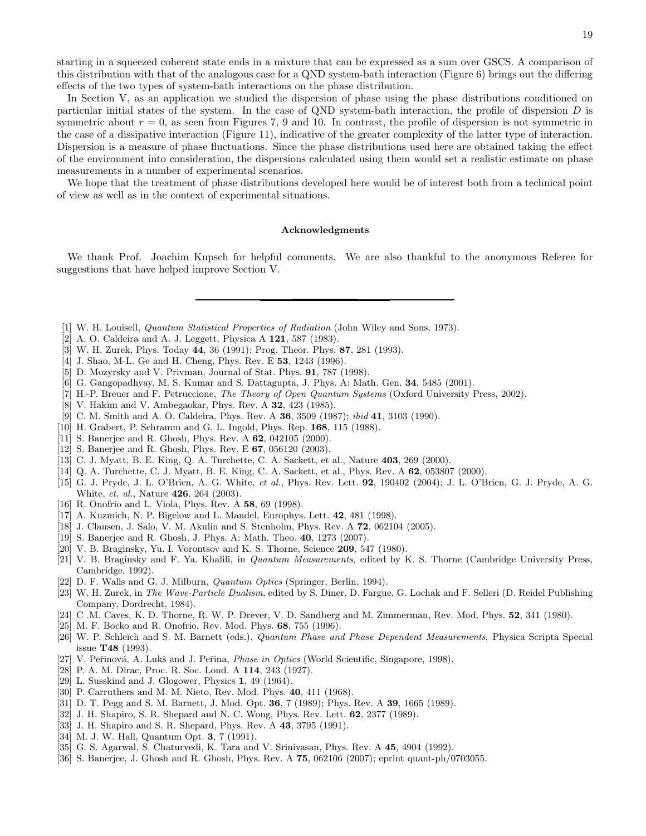starting in a squeezed coherent state ends in a mixture that can be expressed as a sum over GSCS. A comparison of this distribution with that of the analogous case for a QND system-bath interaction (Figure 6) brings out the differing effects of the two types of system-bath interactions on the phase distribution.

In Section V, as an application we studied the dispersion of phase using the phase distributions conditioned on particular initial states of the system. In the case of QND system-bath interaction, the profile of dispersion D is symmetric about  $r = 0$ , as seen from Figures 7, 9 and 10. In contrast, the profile of dispersion is not symmetric in the case of a dissipative interaction (Figure 11), indicative of the greater complexity of the latter type of interaction. Dispersion is a measure of phase fluctuations. Since the phase distributions used here are obtained taking the effect of the environment into consideration, the dispersions calculated using them would set a realistic estimate on phase measurements in a number of experimental scenarios.

We hope that the treatment of phase distributions developed here would be of interest both from a technical point of view as well as in the context of experimental situations.

#### Acknowledgments

We thank Prof. Joachim Kupsch for helpful comments. We are also thankful to the anonymous Referee for suggestions that have helped improve Section V.

- [1] W. H. Louisell, Quantum Statistical Properties of Radiation (John Wiley and Sons, 1973).
- [2] A. O. Caldeira and A. J. Leggett, Physica A 121, 587 (1983).
- [3] W. H. Zurek, Phys. Today 44, 36 (1991); Prog. Theor. Phys. 87, 281 (1993).
- [4] J. Shao, M-L. Ge and H. Cheng, Phys. Rev. E 53, 1243 (1996).
- [5] D. Mozyrsky and V. Privman, Journal of Stat. Phys. 91, 787 (1998).
- [6] G. Gangopadhyay, M. S. Kumar and S. Dattagupta, J. Phys. A: Math. Gen. 34, 5485 (2001).
- [7] H.-P. Breuer and F. Petruccione, The Theory of Open Quantum Systems (Oxford University Press, 2002).
- [8] V. Hakim and V. Ambegaokar, Phys. Rev. A 32, 423 (1985).
- [9] C. M. Smith and A. O. Caldeira, Phys. Rev. A **36**, 3509 (1987); *ibid* 41, 3103 (1990).
- [10] H. Grabert, P. Schramm and G. L. Ingold, Phys. Rep. 168, 115 (1988).
- [11] S. Banerjee and R. Ghosh, Phys. Rev. A 62, 042105 (2000).
- [12] S. Banerjee and R. Ghosh, Phys. Rev. E 67, 056120 (2003).
- [13] C. J. Myatt, B. E. King, Q. A. Turchette, C. A. Sackett, et al., Nature 403, 269 (2000).
- [14] Q. A. Turchette, C. J. Myatt, B. E. King, C. A. Sackett, et al., Phys. Rev. A **62**, 053807 (2000).
- [15] G. J. Pryde, J. L. O'Brien, A. G. White, et al., Phys. Rev. Lett. 92, 190402 (2004); J. L. O'Brien, G. J. Pryde, A. G. White, et. al., Nature 426, 264 (2003).
- [16] R. Onofrio and L. Viola, Phys. Rev. A 58, 69 (1998).
- [17] A. Kuzmich, N. P. Bigelow and L. Mandel, Europhys. Lett. 42, 481 (1998).
- [18] J. Clausen, J. Salo, V. M. Akulin and S. Stenholm, Phys. Rev. A 72, 062104 (2005).
- [19] S. Banerjee and R. Ghosh, J. Phys. A: Math. Theo. 40, 1273 (2007).
- [20] V. B. Braginsky, Yu. I. Vorontsov and K. S. Thorne, Science 209, 547 (1980).
- [21] V. B. Braginsky and F. Ya. Khalili, in Quantum Measurements, edited by K. S. Thorne (Cambridge University Press, Cambridge, 1992).
- [22] D. F. Walls and G. J. Milburn, *Quantum Optics* (Springer, Berlin, 1994).
- [23] W. H. Zurek, in The Wave-Particle Dualism, edited by S. Diner, D. Fargue, G. Lochak and F. Selleri (D. Reidel Publishing Company, Dordrecht, 1984).
- [24] C .M. Caves, K. D. Thorne, R. W. P. Drever, V. D. Sandberg and M. Zimmerman, Rev. Mod. Phys. 52, 341 (1980).
- [25] M. F. Bocko and R. Onofrio, Rev. Mod. Phys. 68, 755 (1996).
- [26] W. P. Schleich and S. M. Barnett (eds.), Quantum Phase and Phase Dependent Measurements, Physica Scripta Special issue T48 (1993).
- [27] V. Peřinová, A. Lukš and J. Peřina, *Phase in Optics* (World Scientific, Singapore, 1998).
- [28] P. A. M. Dirac, Proc. R. Soc. Lond. A 114, 243 (1927).
- [29] L. Susskind and J. Glogower, Physics 1, 49 (1964).
- [30] P. Carruthers and M. M. Nieto, Rev. Mod. Phys. 40, 411 (1968).
- [31] D. T. Pegg and S. M. Barnett, J. Mod. Opt. **36**, 7 (1989); Phys. Rev. A **39**, 1665 (1989).
- [32] J. H. Shapiro, S. R. Shepard and N. C. Wong, Phys. Rev. Lett. **62**, 2377 (1989).
- [33] J. H. Shapiro and S. R. Shepard, Phys. Rev. A 43, 3795 (1991).
- [34] M. J. W. Hall, Quantum Opt. 3, 7 (1991).
- [35] G. S. Agarwal, S. Chaturvedi, K. Tara and V. Srinivasan, Phys. Rev. A 45, 4904 (1992).
- [36] S. Banerjee, J. Ghosh and R. Ghosh, Phys. Rev. A 75, 062106 (2007); eprint quant-ph/0703055.